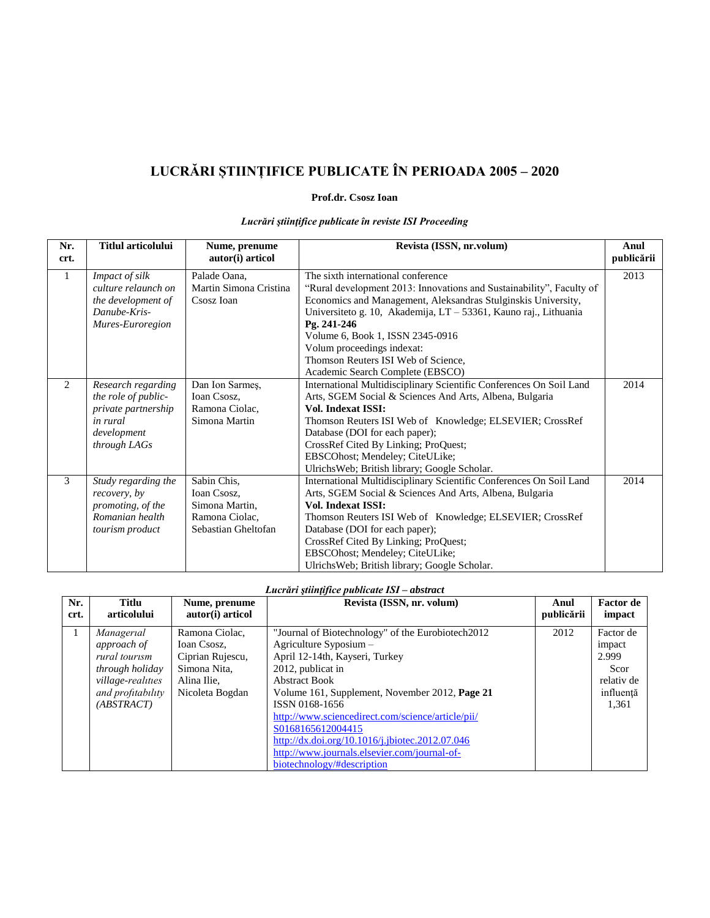## **LUCRĂRI ȘTIINȚIFICE PUBLICATE ÎN PERIOADA 2005 – 2020**

## **Prof.dr. Csosz Ioan**

| Nr.<br>crt.    | <b>Titlul articolului</b>                                                                                   | Nume, prenume<br>autor(i) articol                                                     | Revista (ISSN, nr.volum)                                                                                                                                                                                                                                                                                                                                                                                    | Anul<br>publicării |
|----------------|-------------------------------------------------------------------------------------------------------------|---------------------------------------------------------------------------------------|-------------------------------------------------------------------------------------------------------------------------------------------------------------------------------------------------------------------------------------------------------------------------------------------------------------------------------------------------------------------------------------------------------------|--------------------|
| $\mathbf{1}$   | Impact of silk<br>culture relaunch on<br>the development of<br>Danube-Kris-<br>Mures-Euroregion             | Palade Oana.<br>Martin Simona Cristina<br>Csosz Ioan                                  | The sixth international conference<br>"Rural development 2013: Innovations and Sustainability", Faculty of<br>Economics and Management, Aleksandras Stulginskis University,<br>Universiteto g. 10, Akademija, LT - 53361, Kauno raj., Lithuania<br>Pg. 241-246<br>Volume 6, Book 1, ISSN 2345-0916<br>Volum proceedings indexat:<br>Thomson Reuters ISI Web of Science,<br>Academic Search Complete (EBSCO) | 2013               |
| $\overline{2}$ | Research regarding<br>the role of public-<br>private partnership<br>in rural<br>development<br>through LAGs | Dan Ion Sarmeş,<br>Ioan Csosz,<br>Ramona Ciolac,<br>Simona Martin                     | International Multidisciplinary Scientific Conferences On Soil Land<br>Arts, SGEM Social & Sciences And Arts, Albena, Bulgaria<br><b>Vol. Indexat ISSI:</b><br>Thomson Reuters ISI Web of Knowledge; ELSEVIER; CrossRef<br>Database (DOI for each paper);<br>CrossRef Cited By Linking; ProQuest;<br>EBSCOhost; Mendeley; CiteULike;<br>UlrichsWeb; British library; Google Scholar.                        | 2014               |
| 3              | Study regarding the<br>recovery, by<br>promoting, of the<br>Romanian health<br>tourism product              | Sabin Chis,<br>Ioan Csosz,<br>Simona Martin,<br>Ramona Ciolac,<br>Sebastian Gheltofan | International Multidisciplinary Scientific Conferences On Soil Land<br>Arts, SGEM Social & Sciences And Arts, Albena, Bulgaria<br><b>Vol. Indexat ISSI:</b><br>Thomson Reuters ISI Web of Knowledge; ELSEVIER; CrossRef<br>Database (DOI for each paper);<br>CrossRef Cited By Linking; ProQuest;<br>EBSCOhost; Mendeley; CiteULike;<br>UlrichsWeb; British library; Google Scholar.                        | 2014               |

## *Lucrări ştiinţifice publicate în reviste ISI Proceeding*

## *Lucrări ştiinţifice publicate ISI – abstract*

| Nr.  | Titlu                                                                                                                 | Nume, prenume                                                                                       | Revista (ISSN, nr. volum)                                                                                                                                                                                                                                                                                                                                                                                                                 | Anul       | <b>Factor</b> de                                                         |
|------|-----------------------------------------------------------------------------------------------------------------------|-----------------------------------------------------------------------------------------------------|-------------------------------------------------------------------------------------------------------------------------------------------------------------------------------------------------------------------------------------------------------------------------------------------------------------------------------------------------------------------------------------------------------------------------------------------|------------|--------------------------------------------------------------------------|
| crt. | articolului                                                                                                           | autor(i) articol                                                                                    |                                                                                                                                                                                                                                                                                                                                                                                                                                           | publicării | impact                                                                   |
| 1    | Managerial<br>approach of<br>rural tourism<br>through holiday<br>village-realities<br>and profitability<br>(ABSTRACT) | Ramona Ciolac,<br>Ioan Csosz,<br>Ciprian Rujescu,<br>Simona Nita,<br>Alina Ilie.<br>Nicoleta Bogdan | "Journal of Biotechnology" of the Eurobiotech2012<br>Agriculture Syposium -<br>April 12-14th, Kayseri, Turkey<br>2012, publicat in<br><b>Abstract Book</b><br>Volume 161, Supplement, November 2012, Page 21<br>ISSN 0168-1656<br>http://www.sciencedirect.com/science/article/pii/<br>S0168165612004415<br>http://dx.doi.org/10.1016/j.jbiotec.2012.07.046<br>http://www.journals.elsevier.com/journal-of-<br>biotechnology/#description | 2012       | Factor de<br>impact<br>2.999<br>Scor<br>relativ de<br>influență<br>1,361 |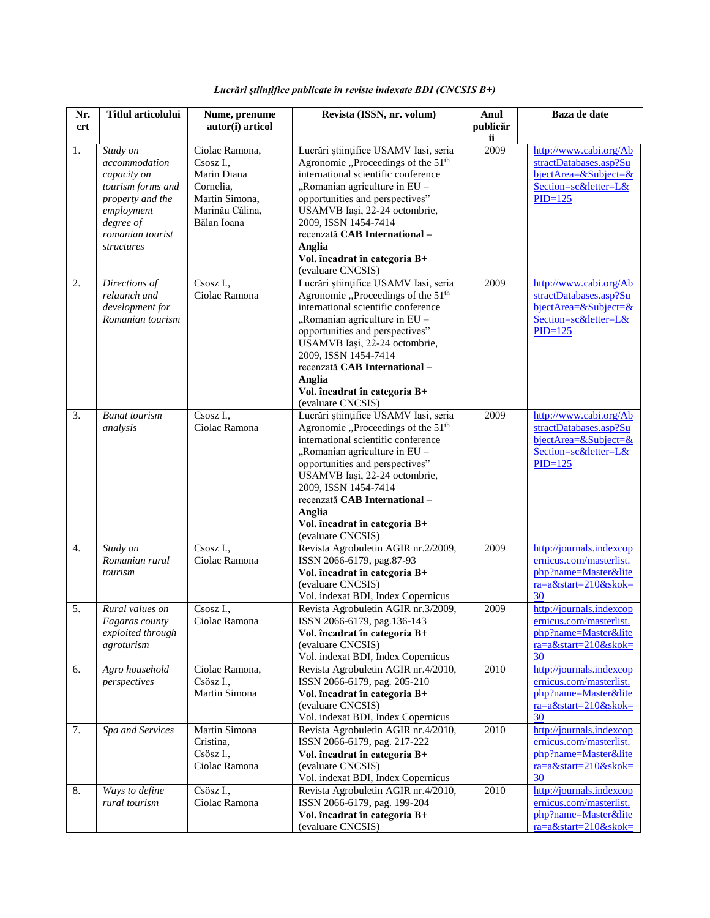| Nr.<br><b>crt</b> | <b>Titlul articolului</b>                                                                                                                             | Nume, prenume<br>autor(i) articol                                                                           | Revista (ISSN, nr. volum)                                                                                                                                                                                                                                                                                                                                    | Anul<br>publicăr | Baza de date                                                                                                         |
|-------------------|-------------------------------------------------------------------------------------------------------------------------------------------------------|-------------------------------------------------------------------------------------------------------------|--------------------------------------------------------------------------------------------------------------------------------------------------------------------------------------------------------------------------------------------------------------------------------------------------------------------------------------------------------------|------------------|----------------------------------------------------------------------------------------------------------------------|
| 1.                | Study on<br>accommodation<br>capacity on<br>tourism forms and<br>property and the<br>employment<br>degree of<br>romanian tourist<br><i>structures</i> | Ciolac Ramona,<br>Csosz I.,<br>Marin Diana<br>Cornelia.<br>Martin Simona,<br>Marinău Călina,<br>Bălan Ioana | Lucrări științifice USAMV Iasi, seria<br>Agronomie "Proceedings of the 51 <sup>th</sup><br>international scientific conference<br>"Romanian agriculture in EU -<br>opportunities and perspectives"<br>USAMVB Iași, 22-24 octombrie,<br>2009, ISSN 1454-7414<br>recenzată CAB International-<br>Anglia<br>Vol. încadrat în categoria B+<br>(evaluare CNCSIS)  | ii<br>2009       | http://www.cabi.org/Ab<br>stractDatabases.asp?Su<br>bjectArea=&Subject=&<br>Section=sc&letter=L&<br>$PID=125$        |
| 2.                | Directions of<br>relaunch and<br>development for<br>Romanian tourism                                                                                  | $\overline{\text{C}}$ sosz I.,<br>Ciolac Ramona                                                             | Lucrări științifice USAMV Iasi, seria<br>Agronomie "Proceedings of the 51 <sup>th</sup><br>international scientific conference<br>"Romanian agriculture in $EU$<br>opportunities and perspectives"<br>USAMVB Iași, 22-24 octombrie,<br>2009, ISSN 1454-7414<br>recenzată CAB International-<br>Anglia<br>Vol. încadrat în categoria B+<br>(evaluare CNCSIS)  | 2009             | http://www.cabi.org/Ab<br>stractDatabases.asp?Su<br>$bjectArea = & Subject = &$<br>Section=sc&letter=L&<br>$PID=125$ |
| 3.                | <b>Banat tourism</b><br>analysis                                                                                                                      | Csosz I<br>Ciolac Ramona                                                                                    | Lucrări științifice USAMV Iasi, seria<br>Agronomie "Proceedings of the 51 <sup>th</sup><br>international scientific conference<br>"Romanian agriculture in EU -<br>opportunities and perspectives"<br>USAMVB Iași, 22-24 octombrie,<br>2009, ISSN 1454-7414<br>recenzată CAB International -<br>Anglia<br>Vol. încadrat în categoria B+<br>(evaluare CNCSIS) | 2009             | http://www.cabi.org/Ab<br>stractDatabases.asp?Su<br>$bjectArea = & Subject = &$<br>Section=sc&letter=L&<br>$PID=125$ |
| $\overline{4}$ .  | Study on<br>Romanian rural<br>tourism                                                                                                                 | $\overline{\text{Csosz}}$ I.,<br>Ciolac Ramona                                                              | Revista Agrobuletin AGIR nr.2/2009,<br>ISSN 2066-6179, pag.87-93<br>Vol. încadrat în categoria B+<br>(evaluare CNCSIS)<br>Vol. indexat BDI, Index Copernicus                                                                                                                                                                                                 | 2009             | http://journals.indexcop<br>ernicus.com/masterlist.<br>php?name=Master&lite<br>ra=a&start=210&skok=<br>30            |
| 5.                | Rural values on<br><i>Fagaras county</i><br>exploited through<br>agroturism                                                                           | Csosz I<br>Ciolac Ramona                                                                                    | Revista Agrobuletin AGIR nr.3/2009,<br>ISSN 2066-6179, pag.136-143<br>Vol. încadrat în categoria B+<br>(evaluare CNCSIS)<br>Vol. indexat BDI, Index Copernicus                                                                                                                                                                                               | 2009             | http://journals.indexcop<br>ernicus.com/masterlist.<br>php?name=Master&lite<br>ra=a&start=210&skok=<br>30            |
| 6.                | Agro household<br>perspectives                                                                                                                        | Ciolac Ramona,<br>Csösz I.,<br>Martin Simona                                                                | Revista Agrobuletin AGIR nr.4/2010,<br>ISSN 2066-6179, pag. 205-210<br>Vol. încadrat în categoria B+<br>(evaluare CNCSIS)<br>Vol. indexat BDI, Index Copernicus                                                                                                                                                                                              | 2010             | http://journals.indexcop<br>ernicus.com/masterlist.<br>php?name=Master&lite<br>$ra = a$ &start=210&skok=<br>30       |
| 7.                | Spa and Services                                                                                                                                      | Martin Simona<br>Cristina.<br>Csösz I.,<br>Ciolac Ramona                                                    | Revista Agrobuletin AGIR nr.4/2010,<br>ISSN 2066-6179, pag. 217-222<br>Vol. încadrat în categoria B+<br>(evaluare CNCSIS)<br>Vol. indexat BDI, Index Copernicus                                                                                                                                                                                              | 2010             | http://journals.indexcop<br>ernicus.com/masterlist.<br>php?name=Master&lite<br>ra=a&start=210&skok=<br>30            |
| 8.                | Ways to define<br>rural tourism                                                                                                                       | Csösz I.,<br>Ciolac Ramona                                                                                  | Revista Agrobuletin AGIR nr.4/2010,<br>ISSN 2066-6179, pag. 199-204<br>Vol. încadrat în categoria B+<br>(evaluare CNCSIS)                                                                                                                                                                                                                                    | 2010             | http://journals.indexcop<br>ernicus.com/masterlist.<br>php?name=Master&lite<br>ra=a&start=210&skok=                  |

*Lucrări ştiinţifice publicate în reviste indexate BDI (CNCSIS B+)*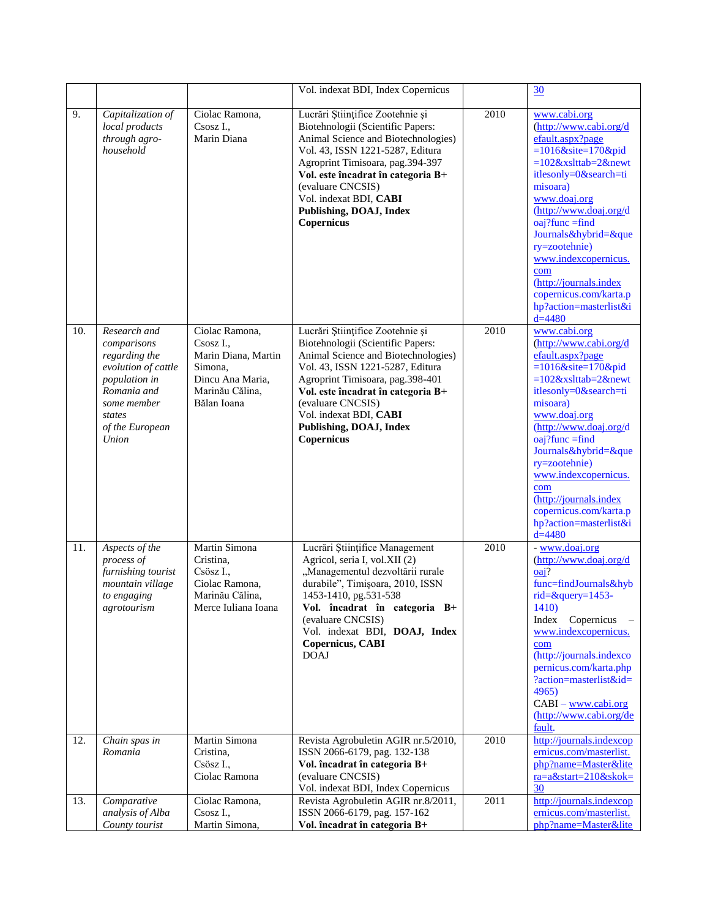|     |                                                                                                                                                          |                                                                                                                     | Vol. indexat BDI, Index Copernicus                                                                                                                                                                                                                                                                                 |      | 30                                                                                                                                                                                                                                                                                                                                                                                     |
|-----|----------------------------------------------------------------------------------------------------------------------------------------------------------|---------------------------------------------------------------------------------------------------------------------|--------------------------------------------------------------------------------------------------------------------------------------------------------------------------------------------------------------------------------------------------------------------------------------------------------------------|------|----------------------------------------------------------------------------------------------------------------------------------------------------------------------------------------------------------------------------------------------------------------------------------------------------------------------------------------------------------------------------------------|
| 9.  | Capitalization of<br>local products<br>through agro-<br>household                                                                                        | Ciolac Ramona,<br>Csosz I.,<br>Marin Diana                                                                          | Lucrări Științifice Zootehnie și<br>Biotehnologii (Scientific Papers:<br>Animal Science and Biotechnologies)<br>Vol. 43, ISSN 1221-5287, Editura<br>Agroprint Timisoara, pag.394-397<br>Vol. este încadrat în categoria B+<br>(evaluare CNCSIS)<br>Vol. indexat BDI, CABI<br>Publishing, DOAJ, Index<br>Copernicus | 2010 | www.cabi.org<br>(http://www.cabi.org/d<br>efault.aspx?page<br>$=1016$ &site=170&pid<br>$=102$ &xslttab=2&newt<br>itlesonly=0&search=ti<br>misoara)<br>www.doaj.org<br>(http://www.doaj.org/d<br>$oai?$ func = find<br>Journals&hybrid=&que<br>ry=zootehnie)<br>www.indexcopernicus.<br>com<br>(http://journals.index<br>copernicus.com/karta.p<br>hp?action=masterlist&i<br>$d = 4480$ |
| 10. | Research and<br>comparisons<br>regarding the<br>evolution of cattle<br>population in<br>Romania and<br>some member<br>states<br>of the European<br>Union | Ciolac Ramona,<br>Csosz I.,<br>Marin Diana, Martin<br>Simona.<br>Dincu Ana Maria,<br>Marinău Călina,<br>Bălan Ioana | Lucrări Științifice Zootehnie și<br>Biotehnologii (Scientific Papers:<br>Animal Science and Biotechnologies)<br>Vol. 43, ISSN 1221-5287, Editura<br>Agroprint Timisoara, pag.398-401<br>Vol. este încadrat în categoria B+<br>(evaluare CNCSIS)<br>Vol. indexat BDI, CABI<br>Publishing, DOAJ, Index<br>Copernicus | 2010 | www.cabi.org<br>(http://www.cabi.org/d<br>efault.aspx?page<br>$=1016$ &site=170&pid<br>$=102$ &xslttab=2&newt<br>itlesonly=0&search=ti<br>misoara)<br>www.doaj.org<br>(http://www.doaj.org/d<br>$oaj?func = find$<br>Journals&hybrid=&que<br>ry=zootehnie)<br>www.indexcopernicus.<br>com<br>(http://journals.index<br>copernicus.com/karta.p<br>hp?action=masterlist&i<br>$d = 4480$  |
| 11. | Aspects of the<br>process of<br>furnishing tourist<br>mountain village<br>to engaging<br>agrotourism                                                     | Martin Simona<br>Cristina.<br>Csösz I.,<br>Ciolac Ramona,<br>Marinău Călina,<br>Merce Iuliana Ioana                 | Lucrări Științifice Management<br>Agricol, seria I, vol.XII (2)<br>"Managementul dezvoltării rurale<br>durabile", Timișoara, 2010, ISSN<br>1453-1410, pg.531-538<br>Vol. încadrat în categoria B+<br>(evaluare CNCSIS)<br>Vol. indexat BDI, DOAJ, Index<br>Copernicus, CABI<br><b>DOAJ</b>                         | 2010 | - www.doaj.org<br>$(\frac{http://www.doaj.org/d}{$<br>$oai$ ?<br>func=findJournals&hyb<br>rid=&query= $1453-$<br>1410)<br>Index<br>Copernicus<br>www.indexcopernicus.<br>com<br>(http://journals.indexco<br>pernicus.com/karta.php<br>?action=masterlist&id=<br>4965)<br>$CABI$ – www.cabi.org<br>(http://www.cabi.org/de<br>fault.                                                    |
| 12. | Chain spas in<br>Romania                                                                                                                                 | Martin Simona<br>Cristina,<br>Csösz I.,<br>Ciolac Ramona                                                            | Revista Agrobuletin AGIR nr.5/2010,<br>ISSN 2066-6179, pag. 132-138<br>Vol. încadrat în categoria B+<br>(evaluare CNCSIS)<br>Vol. indexat BDI, Index Copernicus                                                                                                                                                    | 2010 | http://journals.indexcop<br>ernicus.com/masterlist.<br>php?name=Master&lite<br>ra=a&start=210&skok=<br>30                                                                                                                                                                                                                                                                              |
| 13. | Comparative<br>analysis of Alba<br>County tourist                                                                                                        | Ciolac Ramona,<br>Csosz I.,<br>Martin Simona,                                                                       | Revista Agrobuletin AGIR nr.8/2011,<br>ISSN 2066-6179, pag. 157-162<br>Vol. încadrat în categoria B+                                                                                                                                                                                                               | 2011 | http://journals.indexcop<br>ernicus.com/masterlist.<br>php?name=Master&lite                                                                                                                                                                                                                                                                                                            |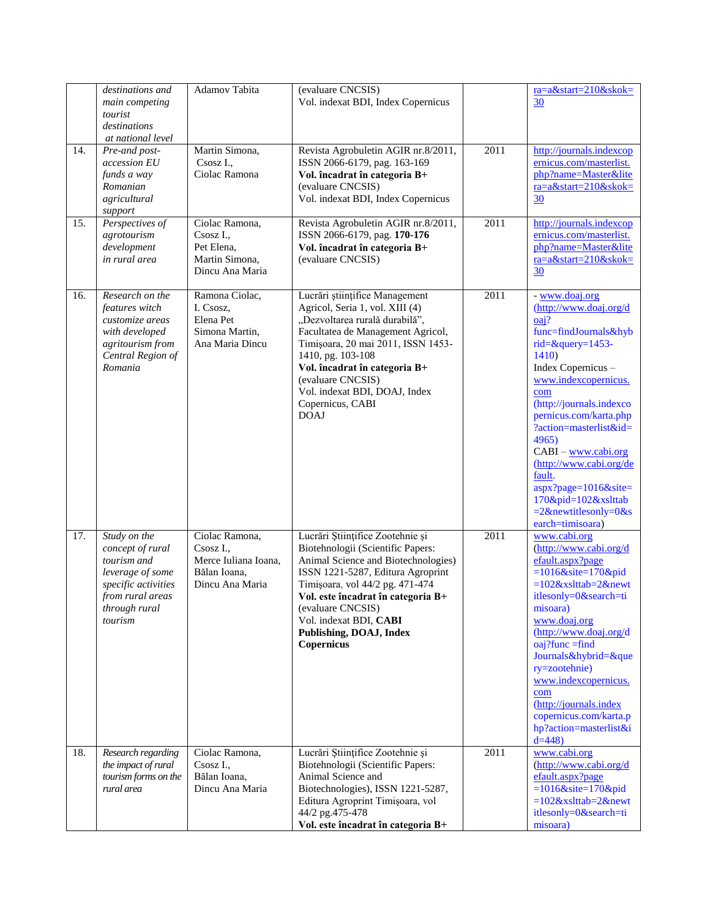|     | destinations and<br>main competing<br>tourist<br>destinations<br>at national level                                                         | Adamov Tabita                                                                          | (evaluare CNCSIS)<br>Vol. indexat BDI, Index Copernicus                                                                                                                                                                                                                                                                       |                   | $ra = a$ &start=210&skok=<br>30                                                                                                                                                                                                                                                                                                                                                                                           |
|-----|--------------------------------------------------------------------------------------------------------------------------------------------|----------------------------------------------------------------------------------------|-------------------------------------------------------------------------------------------------------------------------------------------------------------------------------------------------------------------------------------------------------------------------------------------------------------------------------|-------------------|---------------------------------------------------------------------------------------------------------------------------------------------------------------------------------------------------------------------------------------------------------------------------------------------------------------------------------------------------------------------------------------------------------------------------|
| 14. | Pre-and post-<br>accession EU<br>funds a way<br>Romanian<br>agricultural<br>support                                                        | Martin Simona,<br>Csosz I.,<br>Ciolac Ramona                                           | Revista Agrobuletin AGIR nr.8/2011,<br>ISSN 2066-6179, pag. 163-169<br>Vol. încadrat în categoria B+<br>(evaluare CNCSIS)<br>Vol. indexat BDI, Index Copernicus                                                                                                                                                               | 2011              | http://journals.indexcop<br>ernicus.com/masterlist.<br>php?name=Master&lite<br>ra=a&start=210&skok=<br>30                                                                                                                                                                                                                                                                                                                 |
| 15. | Perspectives of<br>agrotourism<br>development<br>in rural area                                                                             | Ciolac Ramona,<br>Csosz I.,<br>Pet Elena,<br>Martin Simona,<br>Dincu Ana Maria         | Revista Agrobuletin AGIR nr.8/2011,<br>ISSN 2066-6179, pag. 170-176<br>Vol. încadrat în categoria B+<br>(evaluare CNCSIS)                                                                                                                                                                                                     | 2011              | http://journals.indexcop<br>ernicus.com/masterlist.<br>php?name=Master&lite<br>ra=a&start=210&skok=<br>30                                                                                                                                                                                                                                                                                                                 |
| 16. | Research on the<br>features witch<br>customize areas<br>with developed<br>agritourism from<br>Central Region of<br>Romania                 | Ramona Ciolac,<br>I. Csosz,<br>Elena Pet<br>Simona Martin,<br>Ana Maria Dincu          | Lucrări științifice Management<br>Agricol, Seria 1, vol. XIII (4)<br>"Dezvoltarea rurală durabilă",<br>Facultatea de Management Agricol,<br>Timișoara, 20 mai 2011, ISSN 1453-<br>1410, pg. 103-108<br>Vol. încadrat în categoria B+<br>(evaluare CNCSIS)<br>Vol. indexat BDI, DOAJ, Index<br>Copernicus, CABI<br><b>DOAJ</b> | $\overline{2011}$ | - www.doaj.org<br>(http://www.doaj.org/d<br>oaj?<br>func=findJournals&hyb<br>$rid = \& query = 1453 -$<br>1410)<br>Index Copernicus -<br>www.indexcopernicus.<br>com<br>(http://journals.indexco<br>pernicus.com/karta.php<br>?action=masterlist&id=<br>4965)<br>$CABI - www.cabi.org$<br>(http://www.cabi.org/de<br>fault.<br>aspx?page=1016&site=<br>170&pid=102&xslttab<br>$=2$ &newtitlesonly=0&s<br>earch=timisoara) |
| 17. | Study on the<br>concept of rural<br>tourism and<br>leverage of some<br>specific activities<br>from rural areas<br>through rural<br>tourism | Ciolac Ramona,<br>Csosz I.,<br>Merce Iuliana Ioana,<br>Bălan Ioana,<br>Dincu Ana Maria | Lucrări Științifice Zootehnie și<br>Biotehnologii (Scientific Papers:<br>Animal Science and Biotechnologies)<br>ISSN 1221-5287, Editura Agroprint<br>Timișoara, vol 44/2 pg. 471-474<br>Vol. este încadrat în categoria B+<br>(evaluare CNCSIS)<br>Vol. indexat BDI, CABI<br>Publishing, DOAJ, Index<br>Copernicus            | 2011              | www.cabi.org<br>(http://www.cabi.org/d<br>efault.aspx?page<br>$=1016$ &site=170&pid<br>$=102$ &xslttab=2&newt<br>itlesonly=0&search=ti<br>misoara)<br>www.doaj.org<br>(http://www.doaj.org/d<br>$oaj?func = find$<br>Journals&hybrid=&que<br>ry=zootehnie)<br>www.indexcopernicus.<br>com<br>(http://journals.index<br>copernicus.com/karta.p<br>hp?action=masterlist&i<br>$d=448$                                        |
| 18. | Research regarding<br>the impact of rural<br>tourism forms on the<br>rural area                                                            | Ciolac Ramona,<br>Csosz I.,<br>Bălan Ioana,<br>Dincu Ana Maria                         | Lucrări Științifice Zootehnie și<br>Biotehnologii (Scientific Papers:<br>Animal Science and<br>Biotechnologies), ISSN 1221-5287,<br>Editura Agroprint Timișoara, vol<br>44/2 pg.475-478<br>Vol. este încadrat în categoria B+                                                                                                 | 2011              | www.cabi.org<br>(http://www.cabi.org/d<br>efault.aspx?page<br>$=1016$ &site=170&pid<br>$=102$ &xslttab=2&newt<br>itlesonly=0&search=ti<br>misoara)                                                                                                                                                                                                                                                                        |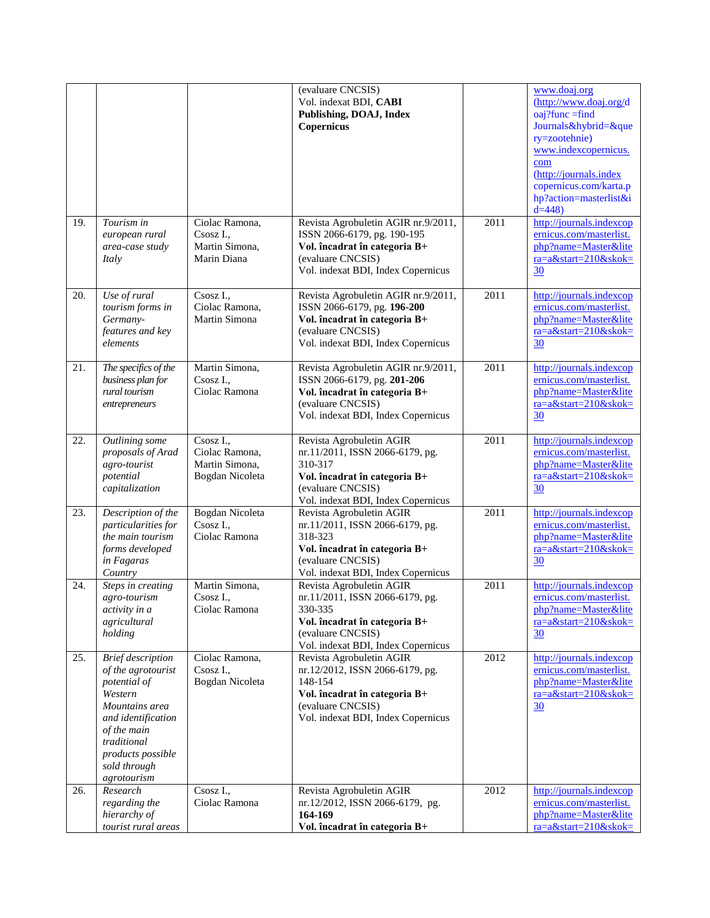| 19. | Tourism in                                                                                                                                                                                          | Ciolac Ramona,                                                   | (evaluare CNCSIS)<br>Vol. indexat BDI, CABI<br>Publishing, DOAJ, Index<br>Copernicus                                                                               | $\overline{2011}$ | www.doaj.org<br>(http://www.doaj.org/d<br>$oaj?func = find$<br>Journals&hybrid=&que<br>ry=zootehnie)<br>www.indexcopernicus.<br>com<br>(http://journals.index)<br>copernicus.com/karta.p<br>hp?action=masterlist&i<br>$d=448$<br>http://journals.indexcop |
|-----|-----------------------------------------------------------------------------------------------------------------------------------------------------------------------------------------------------|------------------------------------------------------------------|--------------------------------------------------------------------------------------------------------------------------------------------------------------------|-------------------|-----------------------------------------------------------------------------------------------------------------------------------------------------------------------------------------------------------------------------------------------------------|
|     | european rural<br>area-case study<br>Italy                                                                                                                                                          | Csosz I<br>Martin Simona,<br>Marin Diana                         | Revista Agrobuletin AGIR nr.9/2011,<br>ISSN 2066-6179, pg. 190-195<br>Vol. încadrat în categoria B+<br>(evaluare CNCSIS)<br>Vol. indexat BDI, Index Copernicus     |                   | ernicus.com/masterlist.<br>php?name=Master&lite<br>ra=a&start=210&skok=<br>30                                                                                                                                                                             |
| 20. | Use of rural<br>tourism forms in<br>Germany-<br>features and key<br>elements                                                                                                                        | Csosz I.,<br>Ciolac Ramona,<br>Martin Simona                     | Revista Agrobuletin AGIR nr.9/2011,<br>ISSN 2066-6179, pg. 196-200<br>Vol. încadrat în categoria B+<br>(evaluare CNCSIS)<br>Vol. indexat BDI, Index Copernicus     | 2011              | http://journals.indexcop<br>ernicus.com/masterlist.<br>php?name=Master&lite<br>ra=a&start=210&skok=<br>30                                                                                                                                                 |
| 21. | The specifics of the<br>business plan for<br>rural tourism<br>entrepreneurs                                                                                                                         | Martin Simona,<br>Csosz I.,<br>Ciolac Ramona                     | Revista Agrobuletin AGIR nr.9/2011,<br>ISSN 2066-6179, pg. 201-206<br>Vol. încadrat în categoria B+<br>(evaluare CNCSIS)<br>Vol. indexat BDI, Index Copernicus     | 2011              | http://journals.indexcop<br>ernicus.com/masterlist.<br>php?name=Master&lite<br>ra=a&start=210&skok=<br>30                                                                                                                                                 |
| 22. | Outlining some<br>proposals of Arad<br>agro-tourist<br>potential<br>capitalization                                                                                                                  | Csosz I.,<br>Ciolac Ramona,<br>Martin Simona,<br>Bogdan Nicoleta | Revista Agrobuletin AGIR<br>nr.11/2011, ISSN 2066-6179, pg.<br>310-317<br>Vol. încadrat în categoria B+<br>(evaluare CNCSIS)<br>Vol. indexat BDI, Index Copernicus | 2011              | http://journals.indexcop<br>ernicus.com/masterlist.<br>php?name=Master&lite<br>ra=a&start=210&skok=<br>30                                                                                                                                                 |
| 23. | Description of the<br>particularities for<br>the main tourism<br>forms developed<br>in Fagaras<br>Country                                                                                           | Bogdan Nicoleta<br>Csosz I.,<br>Ciolac Ramona                    | Revista Agrobuletin AGIR<br>nr.11/2011, ISSN 2066-6179, pg.<br>318-323<br>Vol. încadrat în categoria B+<br>(evaluare CNCSIS)<br>Vol. indexat BDI, Index Copernicus | 2011              | http://journals.indexcop<br>ernicus.com/masterlist.<br>php?name=Master&lite<br>$ra = a$ &start=210&skok=<br>30                                                                                                                                            |
| 24. | Steps in creating<br>agro-tourism<br>activity in a<br>agricultural<br>holding                                                                                                                       | Martin Simona,<br>Csosz I.,<br>Ciolac Ramona                     | Revista Agrobuletin AGIR<br>nr.11/2011, ISSN 2066-6179, pg.<br>330-335<br>Vol. încadrat în categoria B+<br>(evaluare CNCSIS)<br>Vol. indexat BDI, Index Copernicus | 2011              | http://journals.indexcop<br>ernicus.com/masterlist.<br>php?name=Master&lite<br>ra=a&start=210&skok=<br>$\overline{30}$                                                                                                                                    |
| 25. | <b>Brief</b> description<br>of the agrotourist<br>potential of<br>Western<br>Mountains area<br>and identification<br>of the main<br>traditional<br>products possible<br>sold through<br>agrotourism | Ciolac Ramona,<br>Csosz I.,<br>Bogdan Nicoleta                   | Revista Agrobuletin AGIR<br>nr.12/2012, ISSN 2066-6179, pg.<br>148-154<br>Vol. încadrat în categoria B+<br>(evaluare CNCSIS)<br>Vol. indexat BDI, Index Copernicus | 2012              | http://journals.indexcop<br>ernicus.com/masterlist.<br>php?name=Master&lite<br>ra=a&start=210&skok=<br>30                                                                                                                                                 |
| 26. | Research<br>regarding the<br>hierarchy of<br>tourist rural areas                                                                                                                                    | Csosz I.,<br>Ciolac Ramona                                       | Revista Agrobuletin AGIR<br>nr.12/2012, ISSN 2066-6179, pg.<br>164-169<br>Vol. încadrat în categoria B+                                                            | 2012              | http://journals.indexcop<br>ernicus.com/masterlist.<br>php?name=Master&lite<br>ra=a&start=210&skok=                                                                                                                                                       |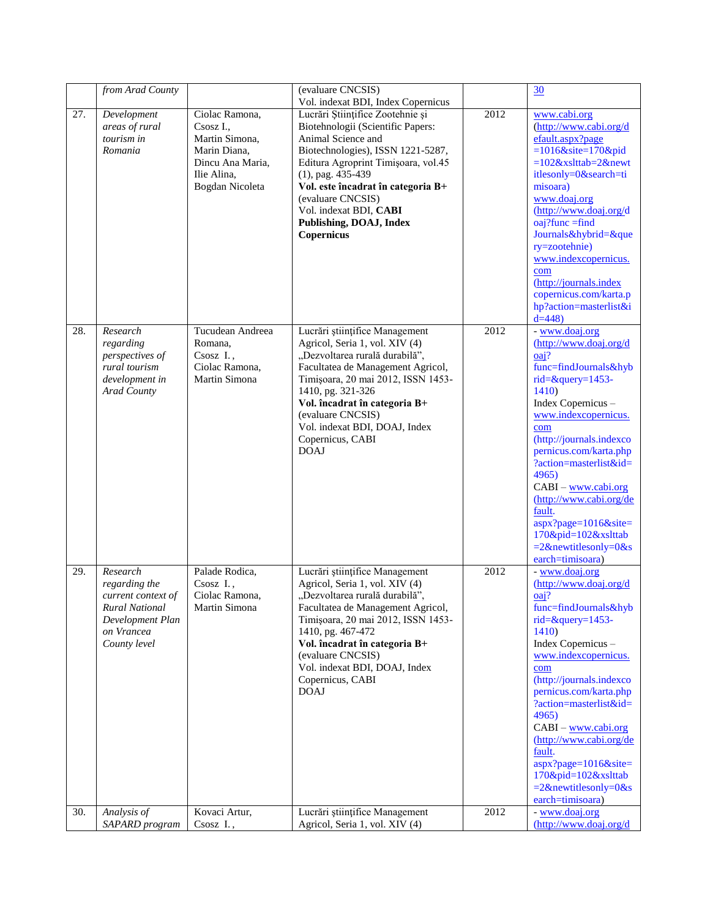|     | from Arad County                                                                                                           |                                                                                                                   | (evaluare CNCSIS)                                                                                                                                                                                                                                                                                                                                                   |      | 30                                                                                                                                                                                                                                                                                                                                                                                                                                  |
|-----|----------------------------------------------------------------------------------------------------------------------------|-------------------------------------------------------------------------------------------------------------------|---------------------------------------------------------------------------------------------------------------------------------------------------------------------------------------------------------------------------------------------------------------------------------------------------------------------------------------------------------------------|------|-------------------------------------------------------------------------------------------------------------------------------------------------------------------------------------------------------------------------------------------------------------------------------------------------------------------------------------------------------------------------------------------------------------------------------------|
| 27. | Development<br>areas of rural<br>tourism in<br>Romania                                                                     | Ciolac Ramona,<br>Csosz I<br>Martin Simona,<br>Marin Diana,<br>Dincu Ana Maria.<br>Ilie Alina,<br>Bogdan Nicoleta | Vol. indexat BDI, Index Copernicus<br>Lucrări Științifice Zootehnie și<br>Biotehnologii (Scientific Papers:<br>Animal Science and<br>Biotechnologies), ISSN 1221-5287,<br>Editura Agroprint Timișoara, vol.45<br>$(1)$ , pag. 435-439<br>Vol. este încadrat în categoria B+<br>(evaluare CNCSIS)<br>Vol. indexat BDI, CABI<br>Publishing, DOAJ, Index<br>Copernicus | 2012 | www.cabi.org<br>(http://www.cabi.org/d<br>efault.aspx?page<br>$=1016$ &site=170&pid<br>$=102$ &xslttab=2&newt<br>itlesonly=0&search=ti<br>misoara)<br>www.doaj.org<br>(http://www.doaj.org/d<br>$oaj?func = find$<br>Journals&hybrid=&que<br>ry=zootehnie)<br>www.indexcopernicus.<br>com<br>(http://journals.index<br>copernicus.com/karta.p<br>hp?action=masterlist&i<br>$d=448$                                                  |
| 28. | Research<br>regarding<br>perspectives of<br>rural tourism<br>development in<br>Arad County                                 | Tucudean Andreea<br>Romana,<br>Csosz I.,<br>Ciolac Ramona,<br>Martin Simona                                       | Lucrări științifice Management<br>Agricol, Seria 1, vol. XIV (4)<br>"Dezvoltarea rurală durabilă",<br>Facultatea de Management Agricol,<br>Timișoara, 20 mai 2012, ISSN 1453-<br>1410, pg. 321-326<br>Vol. încadrat în categoria B+<br>(evaluare CNCSIS)<br>Vol. indexat BDI, DOAJ, Index<br>Copernicus, CABI<br><b>DOAJ</b>                                        | 2012 | - www.doaj.org<br>(http://www.doaj.org/d<br>oaj?<br>func=findJournals&hyb<br>rid=&query=1453-<br>1410<br>Index Copernicus -<br>www.indexcopernicus.<br>com<br>(http://journals.indexco<br>pernicus.com/karta.php<br>?action=masterlist&id=<br>4965)<br>$CABI - www.cabi.org$<br>(http://www.cabi.org/de<br>fault.<br>$aspx?page=1016&site=$<br>170&pid=102&xslttab<br>$=2$ &newtitlesonly=0&s<br>earch=timisoara)                   |
| 29. | Research<br>regarding the<br>current context of<br><b>Rural National</b><br>Development Plan<br>on Vrancea<br>County level | Palade Rodica,<br>Csosz I.,<br>Ciolac Ramona,<br>Martin Simona                                                    | Lucrări științifice Management<br>Agricol, Seria 1, vol. XIV (4)<br>"Dezvoltarea rurală durabilă",<br>Facultatea de Management Agricol,<br>Timișoara, 20 mai 2012, ISSN 1453-<br>1410, pg. 467-472<br>Vol. încadrat în categoria B+<br>(evaluare CNCSIS)<br>Vol. indexat BDI, DOAJ, Index<br>Copernicus, CABI<br><b>DOAJ</b>                                        | 2012 | - www.doaj.org<br>$(\frac{http://www.doaj.org/d}{$<br>$oai$ ?<br>func=findJournals&hyb<br>rid= $&$ query=1453-<br>1410)<br>Index Copernicus -<br>www.indexcopernicus.<br>com<br>(http://journals.indexco<br>pernicus.com/karta.php<br>?action=masterlist&id=<br>4965)<br>$CABI - www.cabi.org$<br>(http://www.cabi.org/de<br>fault.<br>$aspx?page=1016&site=$<br>170&pid=102&xslttab<br>$=2$ &newtitlesonly=0&s<br>earch=timisoara) |
| 30. | Analysis of<br>SAPARD program                                                                                              | Kovaci Artur,<br>Csosz I.,                                                                                        | Lucrări științifice Management<br>Agricol, Seria 1, vol. XIV (4)                                                                                                                                                                                                                                                                                                    | 2012 | - www.doaj.org<br>(http://www.doaj.org/d                                                                                                                                                                                                                                                                                                                                                                                            |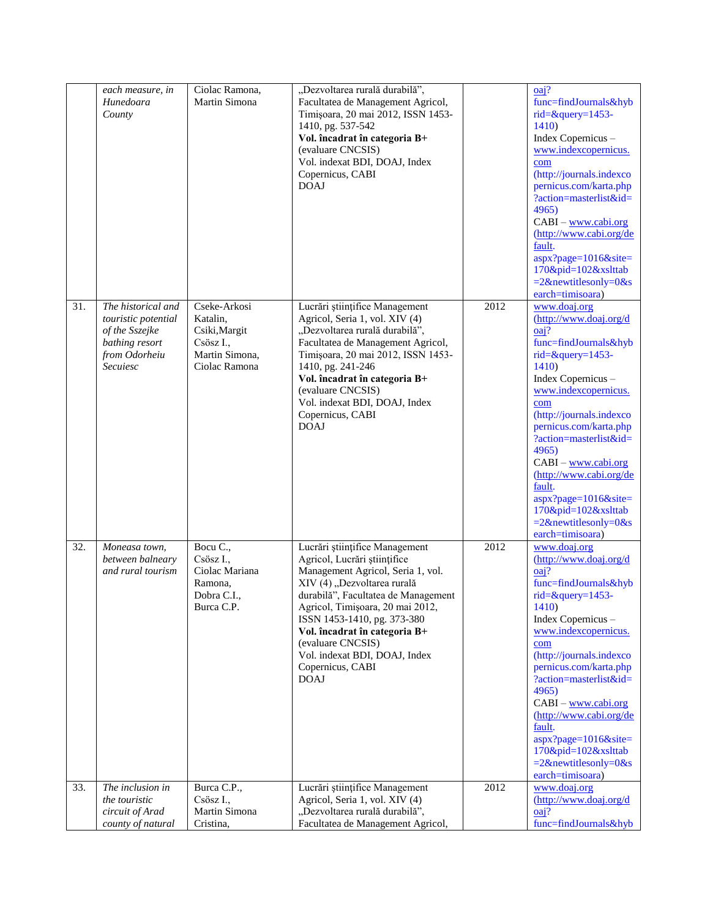|     | each measure, in                 | Ciolac Ramona,                  | "Dezvoltarea rurală durabilă",                                          |      | oai?                                               |
|-----|----------------------------------|---------------------------------|-------------------------------------------------------------------------|------|----------------------------------------------------|
|     | Hunedoara<br>County              | Martin Simona                   | Facultatea de Management Agricol,<br>Timișoara, 20 mai 2012, ISSN 1453- |      | func=findJournals&hyb<br>$rid = \& query = 1453 -$ |
|     |                                  |                                 | 1410, pg. 537-542                                                       |      | <b>1410</b> )                                      |
|     |                                  |                                 | Vol. încadrat în categoria B+                                           |      | Index Copernicus -                                 |
|     |                                  |                                 | (evaluare CNCSIS)                                                       |      | www.indexcopernicus.                               |
|     |                                  |                                 | Vol. indexat BDI, DOAJ, Index                                           |      | com                                                |
|     |                                  |                                 | Copernicus, CABI<br><b>DOAJ</b>                                         |      | (http://journals.indexco<br>pernicus.com/karta.php |
|     |                                  |                                 |                                                                         |      | ?action=masterlist&id=                             |
|     |                                  |                                 |                                                                         |      | 4965                                               |
|     |                                  |                                 |                                                                         |      | $CABI - www.cabi.org$                              |
|     |                                  |                                 |                                                                         |      | (http://www.cabi.org/de<br>fault.                  |
|     |                                  |                                 |                                                                         |      | aspx?page=1016&site=                               |
|     |                                  |                                 |                                                                         |      | 170&pid=102&xslttab                                |
|     |                                  |                                 |                                                                         |      | $=2$ &newtitlesonly=0&s                            |
| 31. | The historical and               | Cseke-Arkosi                    | Lucrări științifice Management                                          | 2012 | earch=timisoara)<br>www.doaj.org                   |
|     | touristic potential              | Katalin.                        | Agricol, Seria 1, vol. XIV (4)                                          |      | (http://www.doaj.org/d                             |
|     | of the Sszejke                   | Csiki, Margit                   | "Dezvoltarea rurală durabilă",                                          |      | oai?                                               |
|     | bathing resort                   | Csösz I.,                       | Facultatea de Management Agricol,                                       |      | func=findJournals&hyb                              |
|     | from Odorheiu<br><b>Secuiesc</b> | Martin Simona,<br>Ciolac Ramona | Timișoara, 20 mai 2012, ISSN 1453-<br>1410, pg. 241-246                 |      | rid=&query=1453-<br>1410)                          |
|     |                                  |                                 | Vol. încadrat în categoria B+                                           |      | Index Copernicus -                                 |
|     |                                  |                                 | (evaluare CNCSIS)                                                       |      | www.indexcopernicus.                               |
|     |                                  |                                 | Vol. indexat BDI, DOAJ, Index                                           |      | com                                                |
|     |                                  |                                 | Copernicus, CABI<br><b>DOAJ</b>                                         |      | (http://journals.indexco<br>pernicus.com/karta.php |
|     |                                  |                                 |                                                                         |      | ?action=masterlist&id=                             |
|     |                                  |                                 |                                                                         |      | 4965)                                              |
|     |                                  |                                 |                                                                         |      | $CABI - www.cabi.org$                              |
|     |                                  |                                 |                                                                         |      | (http://www.cabi.org/de<br>fault.                  |
|     |                                  |                                 |                                                                         |      | aspx?page=1016&site=                               |
|     |                                  |                                 |                                                                         |      | $170\&pid=102\&xsltab$                             |
|     |                                  |                                 |                                                                         |      | $=2$ &newtitlesonly=0&s<br>earch=timisoara)        |
| 32. | Moneasa town,                    | Bocu C.,                        | Lucrări științifice Management                                          | 2012 | www.doaj.org                                       |
|     | between balneary                 | Csösz I.,                       | Agricol, Lucrări științifice                                            |      | $(\frac{http://www.doaj.org/d}{$                   |
|     | and rural tourism                | Ciolac Mariana                  | Management Agricol, Seria 1, vol.                                       |      | oaj?                                               |
|     |                                  | Ramona,<br>Dobra C.I.,          | XIV (4) "Dezvoltarea rurală<br>durabilă", Facultatea de Management      |      | func=findJournals&hyb<br>rid= $&$ query=1453-      |
|     |                                  | Burca C.P.                      | Agricol, Timișoara, 20 mai 2012,                                        |      | 1410)                                              |
|     |                                  |                                 | ISSN 1453-1410, pg. 373-380                                             |      | Index Copernicus -                                 |
|     |                                  |                                 | Vol. încadrat în categoria B+                                           |      | www.indexcopernicus.                               |
|     |                                  |                                 | (evaluare CNCSIS)<br>Vol. indexat BDI, DOAJ, Index                      |      | com<br>(http://journals.indexco                    |
|     |                                  |                                 | Copernicus, CABI                                                        |      | pernicus.com/karta.php                             |
|     |                                  |                                 | <b>DOAJ</b>                                                             |      | ?action=masterlist&id=                             |
|     |                                  |                                 |                                                                         |      | 4965)                                              |
|     |                                  |                                 |                                                                         |      | $CABI$ – www.cabi.org<br>(http://www.cabi.org/de   |
|     |                                  |                                 |                                                                         |      | fault.                                             |
|     |                                  |                                 |                                                                         |      | aspx?page=1016&site=                               |
|     |                                  |                                 |                                                                         |      | $170\&pid=102\&xslttab$                            |
|     |                                  |                                 |                                                                         |      | $=2$ &newtitlesonly=0&s<br>earch=timisoara)        |
| 33. | The inclusion in                 | Burca C.P.,                     | Lucrări științifice Management                                          | 2012 | www.doaj.org                                       |
|     | the touristic                    | Csösz I.,                       | Agricol, Seria 1, vol. XIV (4)                                          |      | $(\frac{http://www.doaj.org/d}{$                   |
|     | circuit of Arad                  | Martin Simona                   | "Dezvoltarea rurală durabilă",                                          |      | oai?                                               |
|     | county of natural                | Cristina,                       | Facultatea de Management Agricol,                                       |      | func=findJournals&hyb                              |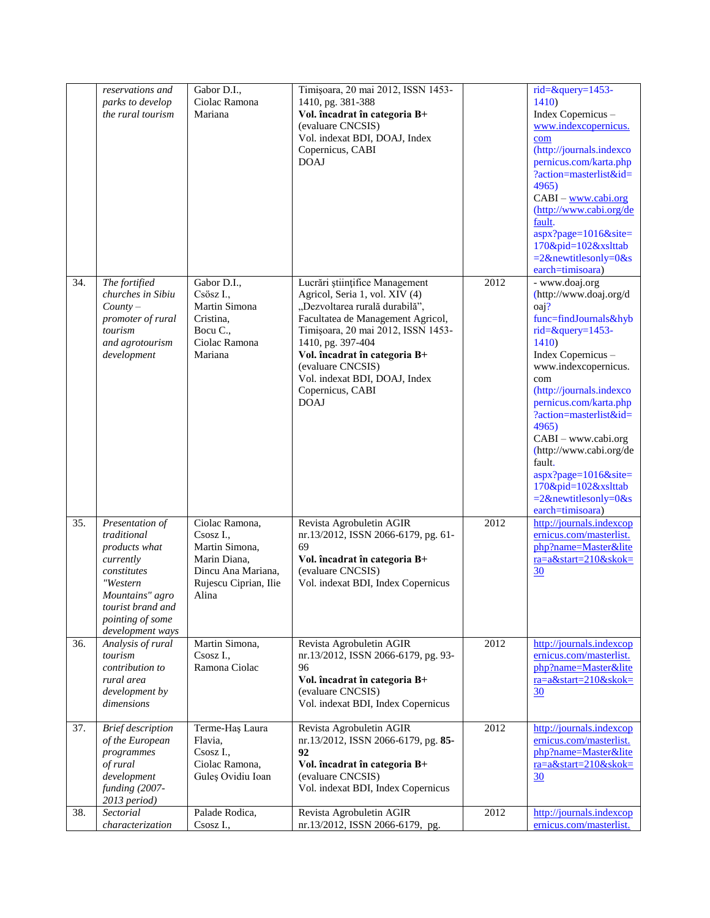|                   | reservations and<br>parks to develop<br>the rural tourism                                                                                                               | Gabor D.I.,<br>Ciolac Ramona<br>Mariana                                                                               | Timișoara, 20 mai 2012, ISSN 1453-<br>1410, pg. 381-388<br>Vol. încadrat în categoria B+<br>(evaluare CNCSIS)<br>Vol. indexat BDI, DOAJ, Index<br>Copernicus, CABI<br><b>DOAJ</b>                                                                                                                                            |      | rid=&query=1453-<br>1410<br>Index Copernicus -<br>www.indexcopernicus.<br>com<br>(http://journals.indexco<br>pernicus.com/karta.php<br>?action=masterlist&id=<br>4965)<br>$CABI - www.cabi.org$<br>(http://www.cabi.org/de<br>fault.<br>aspx?page=1016&site=<br>170&pid=102&xslttab<br>$=2$ &newtitlesonly=0&s<br>earch=timisoara)                                                                                              |
|-------------------|-------------------------------------------------------------------------------------------------------------------------------------------------------------------------|-----------------------------------------------------------------------------------------------------------------------|------------------------------------------------------------------------------------------------------------------------------------------------------------------------------------------------------------------------------------------------------------------------------------------------------------------------------|------|---------------------------------------------------------------------------------------------------------------------------------------------------------------------------------------------------------------------------------------------------------------------------------------------------------------------------------------------------------------------------------------------------------------------------------|
| 34.               | The fortified<br>churches in Sibiu<br>$Country-$<br>promoter of rural<br>tourism<br>and agrotourism<br>development                                                      | Gabor D.I.,<br>Csösz I.,<br>Martin Simona<br>Cristina,<br>Bocu C.,<br>Ciolac Ramona<br>Mariana                        | Lucrări științifice Management<br>Agricol, Seria 1, vol. XIV (4)<br>"Dezvoltarea rurală durabilă",<br>Facultatea de Management Agricol,<br>Timișoara, 20 mai 2012, ISSN 1453-<br>1410, pg. 397-404<br>Vol. încadrat în categoria B+<br>(evaluare CNCSIS)<br>Vol. indexat BDI, DOAJ, Index<br>Copernicus, CABI<br><b>DOAJ</b> | 2012 | - www.doaj.org<br>(http://www.doaj.org/d<br>$oa1$ ?<br>func=findJournals&hyb<br>$rid = \& query = 1453 -$<br>1410<br>Index Copernicus -<br>www.indexcopernicus.<br>com<br>(http://journals.indexco<br>pernicus.com/karta.php<br>?action=masterlist&id=<br>4965)<br>CABI - www.cabi.org<br>(http://www.cabi.org/de<br>fault.<br>$aspx?page=1016&site=$<br>$170\&pid=102\&xslttab$<br>$=2$ &newtitlesonly=0&s<br>earch=timisoara) |
| $\overline{35}$ . | Presentation of<br>traditional<br>products what<br>currently<br>constitutes<br>"Western<br>Mountains" agro<br>tourist brand and<br>pointing of some<br>development ways | Ciolac Ramona,<br>Csosz I.,<br>Martin Simona,<br>Marin Diana,<br>Dincu Ana Mariana,<br>Rujescu Ciprian, Ilie<br>Alina | Revista Agrobuletin AGIR<br>nr.13/2012, ISSN 2066-6179, pg. 61-<br>69<br>Vol. încadrat în categoria B+<br>(evaluare CNCSIS)<br>Vol. indexat BDI, Index Copernicus                                                                                                                                                            | 2012 | http://journals.indexcop<br>ernicus.com/masterlist.<br>php?name=Master&lite<br>ra=a&start=210&skok=<br>30                                                                                                                                                                                                                                                                                                                       |
| 36.               | Analysis of rural<br>tourism<br>contribution to<br>rural area<br>development by<br>dimensions                                                                           | Martin Simona,<br>Csosz I.,<br>Ramona Ciolac                                                                          | Revista Agrobuletin AGIR<br>nr.13/2012, ISSN 2066-6179, pg. 93-<br>96<br>Vol. încadrat în categoria B+<br>(evaluare CNCSIS)<br>Vol. indexat BDI, Index Copernicus                                                                                                                                                            | 2012 | http://journals.indexcop<br>ernicus.com/masterlist.<br>php?name=Master&lite<br>ra=a&start=210&skok=<br>30                                                                                                                                                                                                                                                                                                                       |
| 37.               | <b>Brief</b> description<br>of the European<br>programmes<br>of rural<br>development<br>funding (2007-<br>2013 period)                                                  | Terme-Haş Laura<br>Flavia,<br>Csosz I.,<br>Ciolac Ramona,<br>Guleș Ovidiu Ioan                                        | Revista Agrobuletin AGIR<br>nr.13/2012, ISSN 2066-6179, pg. 85-<br>92<br>Vol. încadrat în categoria B+<br>(evaluare CNCSIS)<br>Vol. indexat BDI, Index Copernicus                                                                                                                                                            | 2012 | http://journals.indexcop<br>ernicus.com/masterlist.<br>php?name=Master&lite<br>ra=a&start=210&skok=<br>30                                                                                                                                                                                                                                                                                                                       |
| 38.               | Sectorial<br>characterization                                                                                                                                           | Palade Rodica,<br>Csosz I.,                                                                                           | Revista Agrobuletin AGIR<br>nr.13/2012, ISSN 2066-6179, pg.                                                                                                                                                                                                                                                                  | 2012 | http://journals.indexcop<br>ernicus.com/masterlist.                                                                                                                                                                                                                                                                                                                                                                             |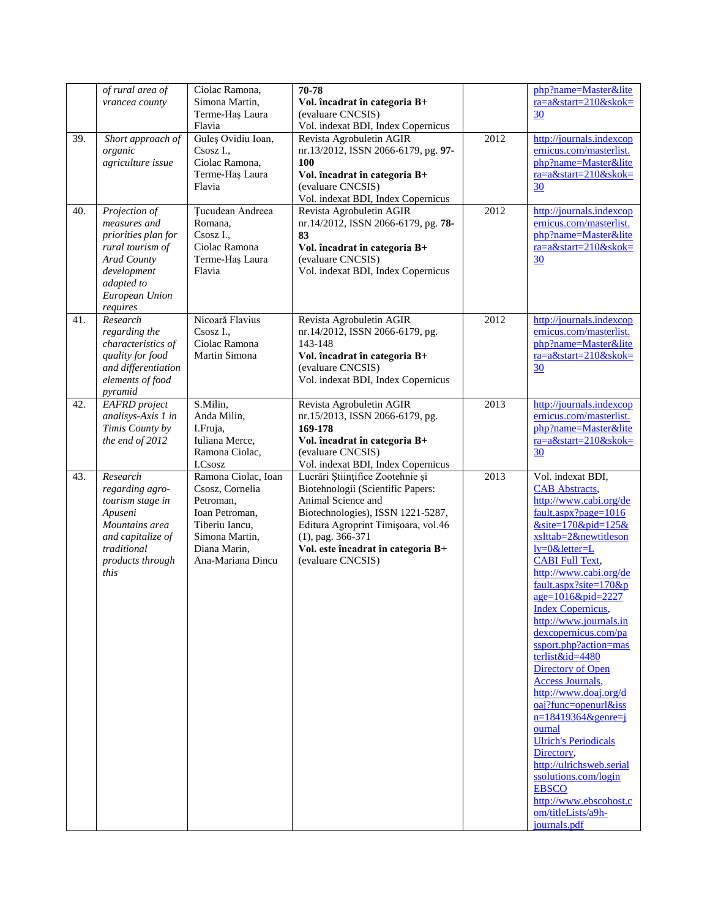|     | of rural area of<br>vrancea county                                                                                                                 | Ciolac Ramona,<br>Simona Martin,<br>Terme-Haș Laura<br>Flavia                                                                                  | 70-78<br>Vol. încadrat în categoria B+<br>(evaluare CNCSIS)<br>Vol. indexat BDI, Index Copernicus                                                                                                                                                          |      | php?name=Master&lite<br>$ra = a$ &start=210&skok=<br>30                                                                                                                                                                                                                                                                                                                                                                                                                                                                                                                                                                                                                                                          |
|-----|----------------------------------------------------------------------------------------------------------------------------------------------------|------------------------------------------------------------------------------------------------------------------------------------------------|------------------------------------------------------------------------------------------------------------------------------------------------------------------------------------------------------------------------------------------------------------|------|------------------------------------------------------------------------------------------------------------------------------------------------------------------------------------------------------------------------------------------------------------------------------------------------------------------------------------------------------------------------------------------------------------------------------------------------------------------------------------------------------------------------------------------------------------------------------------------------------------------------------------------------------------------------------------------------------------------|
| 39. | Short approach of<br>organic<br>agriculture issue                                                                                                  | Guleș Ovidiu Ioan,<br>Csosz I.,<br>Ciolac Ramona,<br>Terme-Haș Laura<br>Flavia                                                                 | Revista Agrobuletin AGIR<br>nr.13/2012, ISSN 2066-6179, pg. 97-<br>100<br>Vol. încadrat în categoria B+<br>(evaluare CNCSIS)<br>Vol. indexat BDI, Index Copernicus                                                                                         | 2012 | http://journals.indexcop<br>ernicus.com/masterlist.<br>php?name=Master&lite<br>ra=a&start=210&skok=<br>30                                                                                                                                                                                                                                                                                                                                                                                                                                                                                                                                                                                                        |
| 40. | Projection of<br>measures and<br>priorities plan for<br>rural tourism of<br>Arad County<br>development<br>adapted to<br>European Union<br>requires | Tucudean Andreea<br>Romana,<br>Csosz I.,<br>Ciolac Ramona<br>Terme-Haș Laura<br>Flavia                                                         | Revista Agrobuletin AGIR<br>nr.14/2012, ISSN 2066-6179, pg. 78-<br>83<br>Vol. încadrat în categoria B+<br>(evaluare CNCSIS)<br>Vol. indexat BDI, Index Copernicus                                                                                          | 2012 | http://journals.indexcop<br>ernicus.com/masterlist.<br>php?name=Master&lite<br>ra=a&start=210&skok=<br>30                                                                                                                                                                                                                                                                                                                                                                                                                                                                                                                                                                                                        |
| 41. | Research<br>regarding the<br>characteristics of<br>quality for food<br>and differentiation<br>elements of food<br>pyramid                          | Nicoară Flavius<br>Csosz I.,<br>Ciolac Ramona<br>Martin Simona                                                                                 | Revista Agrobuletin AGIR<br>nr.14/2012, ISSN 2066-6179, pg.<br>143-148<br>Vol. încadrat în categoria B+<br>(evaluare CNCSIS)<br>Vol. indexat BDI, Index Copernicus                                                                                         | 2012 | http://journals.indexcop<br>ernicus.com/masterlist.<br>php?name=Master&lite<br>ra=a&start=210&skok=<br>30                                                                                                                                                                                                                                                                                                                                                                                                                                                                                                                                                                                                        |
| 42. | <b>EAFRD</b> project<br>analisys-Axis 1 in<br>Timis County by<br>the end of 2012                                                                   | S.Milin,<br>Anda Milin,<br>I.Fruja,<br>Iuliana Merce,<br>Ramona Ciolac,<br>I.Csosz                                                             | Revista Agrobuletin AGIR<br>nr.15/2013, ISSN 2066-6179, pg.<br>169-178<br>Vol. încadrat în categoria B+<br>(evaluare CNCSIS)<br>Vol. indexat BDI, Index Copernicus                                                                                         | 2013 | http://journals.indexcop<br>ernicus.com/masterlist.<br>php?name=Master&lite<br>ra=a&start=210&skok=<br>30                                                                                                                                                                                                                                                                                                                                                                                                                                                                                                                                                                                                        |
| 43. | Research<br>regarding agro-<br>tourism stage in<br>Apuseni<br>Mountains area<br>and capitalize of<br>traditional<br>products through<br>this       | Ramona Ciolac, Ioan<br>Csosz, Cornelia<br>Petroman,<br>Ioan Petroman,<br>Tiberiu Iancu,<br>Simona Martin,<br>Diana Marin,<br>Ana-Mariana Dincu | Lucrări Științifice Zootehnie și<br>Biotehnologii (Scientific Papers:<br>Animal Science and<br>Biotechnologies), ISSN 1221-5287,<br>Editura Agroprint Timișoara, vol.46<br>$(1)$ , pag. 366-371<br>Vol. este încadrat în categoria B+<br>(evaluare CNCSIS) | 2013 | Vol. indexat BDI,<br><b>CAB</b> Abstracts,<br>http://www.cabi.org/de<br>fault.aspx?page=1016<br>$&$ site=170&pid=125&<br>xslttab=2&newtitleson<br>ly=0&letter=L<br><b>CABI Full Text,</b><br>http://www.cabi.org/de<br>fault.aspx?site=170&p<br>age=1016&pid=2227<br><b>Index Copernicus,</b><br>http://www.journals.in<br>dexcopernicus.com/pa<br>ssport.php?action=mas<br>terlist&id=4480<br>Directory of Open<br><b>Access Journals,</b><br>http://www.doaj.org/d<br>oaj?func=openurl&iss<br>$n=18419364$ &genre=j<br>ournal<br><b>Ulrich's Periodicals</b><br>Directory,<br>http://ulrichsweb.serial<br>ssolutions.com/login<br><b>EBSCO</b><br>http://www.ebscohost.c<br>om/titleLists/a9h-<br>journals.pdf |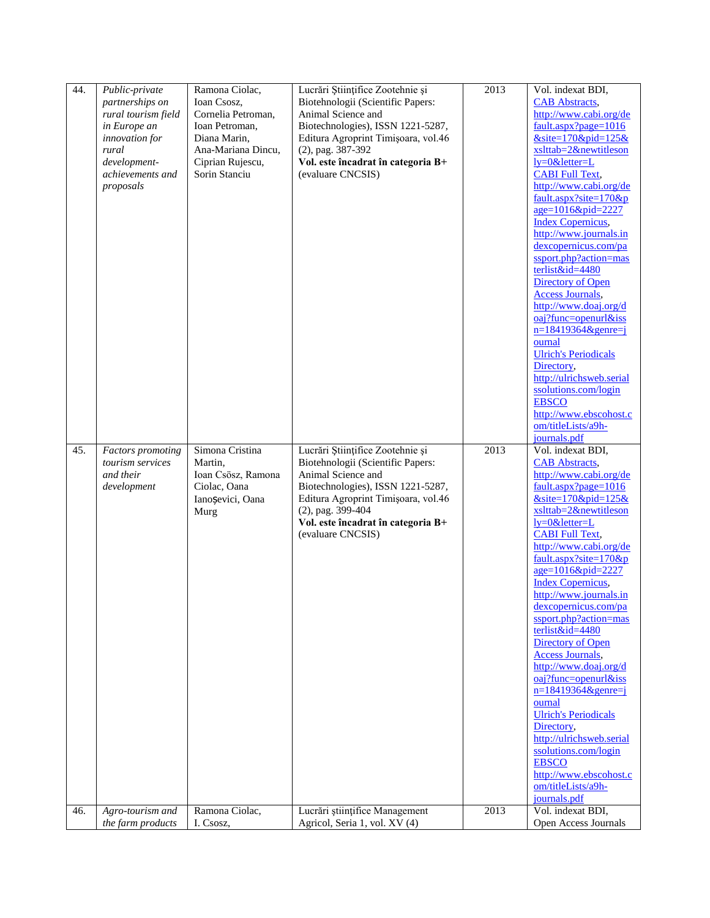| 44. | Public-private<br>partnerships on<br>rural tourism field<br>in Europe an<br>innovation for<br>rural<br>development-<br>achievements and<br>proposals | Ramona Ciolac,<br>Ioan Csosz,<br>Cornelia Petroman,<br>Ioan Petroman,<br>Diana Marin,<br>Ana-Mariana Dincu,<br>Ciprian Rujescu,<br>Sorin Stanciu | Lucrări Științifice Zootehnie și<br>Biotehnologii (Scientific Papers:<br>Animal Science and<br>Biotechnologies), ISSN 1221-5287,<br>Editura Agroprint Timișoara, vol.46<br>(2), pag. 387-392<br>Vol. este încadrat în categoria B+<br>(evaluare CNCSIS) | 2013 | Vol. indexat BDI,<br><b>CAB</b> Abstracts,<br>http://www.cabi.org/de<br>$fault. aspx? page=1016$<br>$&$ site=170 $&$ pid=125 $&$<br>xslttab=2&newtitleson<br>ly=0&letter=L<br><b>CABI Full Text,</b><br>http://www.cabi.org/de<br>fault.aspx?site= $170$ &p<br>$age=1016\&pid=2227$<br><b>Index Copernicus,</b><br>http://www.journals.in<br>dexcopernicus.com/pa<br>ssport.php?action=mas<br>terlist&id=4480<br>Directory of Open<br><b>Access Journals,</b><br>http://www.doaj.org/d<br>$oaj?func=openurl&iss$<br>$n=18419364$ &genre=j                                                                                                                                                                     |
|-----|------------------------------------------------------------------------------------------------------------------------------------------------------|--------------------------------------------------------------------------------------------------------------------------------------------------|---------------------------------------------------------------------------------------------------------------------------------------------------------------------------------------------------------------------------------------------------------|------|---------------------------------------------------------------------------------------------------------------------------------------------------------------------------------------------------------------------------------------------------------------------------------------------------------------------------------------------------------------------------------------------------------------------------------------------------------------------------------------------------------------------------------------------------------------------------------------------------------------------------------------------------------------------------------------------------------------|
| 45. |                                                                                                                                                      | Simona Cristina                                                                                                                                  | Lucrări Științifice Zootehnie și                                                                                                                                                                                                                        | 2013 | ournal<br><b>Ulrich's Periodicals</b><br>Directory,<br>http://ulrichsweb.serial<br>ssolutions.com/login<br><b>EBSCO</b><br>http://www.ebscohost.c<br>om/titleLists/a9h-<br>journals.pdf<br>Vol. indexat BDI,                                                                                                                                                                                                                                                                                                                                                                                                                                                                                                  |
|     | <b>Factors</b> promoting<br>tourism services<br>and their<br>development                                                                             | Martin,<br>Ioan Csösz, Ramona<br>Ciolac, Oana<br>Ianoșevici, Oana<br>Murg                                                                        | Biotehnologii (Scientific Papers:<br>Animal Science and<br>Biotechnologies), ISSN 1221-5287,<br>Editura Agroprint Timișoara, vol.46<br>(2), pag. 399-404<br>Vol. este încadrat în categoria B+<br>(evaluare CNCSIS)                                     |      | <b>CAB</b> Abstracts,<br>http://www.cabi.org/de<br>$fault. aspx? page=1016$<br>$&$ site=170 $&$ pid=125 $&$<br>xslttab=2&newtitleson<br>$ly=0$ &letter=L<br><b>CABI Full Text,</b><br>http://www.cabi.org/de<br>fault.aspx?site= $170$ &p<br>age=1016&pid=2227<br><b>Index Copernicus,</b><br>http://www.journals.in<br>dexcopernicus.com/pa<br>ssport.php?action=mas<br>terlist&id=4480<br>Directory of Open<br><b>Access Journals,</b><br>http://www.doaj.org/d<br>oaj?func=openurl&iss<br>$n=18419364$ &genre=j<br>ournal<br><b>Ulrich's Periodicals</b><br>Directory,<br>http://ulrichsweb.serial<br>ssolutions.com/login<br><b>EBSCO</b><br>http://www.ebscohost.c<br>om/titleLists/a9h-<br>journals.pdf |
| 46. | Agro-tourism and<br>the farm products                                                                                                                | Ramona Ciolac,<br>I. Csosz,                                                                                                                      | Lucrări științifice Management<br>Agricol, Seria 1, vol. XV (4)                                                                                                                                                                                         | 2013 | Vol. indexat BDI,<br>Open Access Journals                                                                                                                                                                                                                                                                                                                                                                                                                                                                                                                                                                                                                                                                     |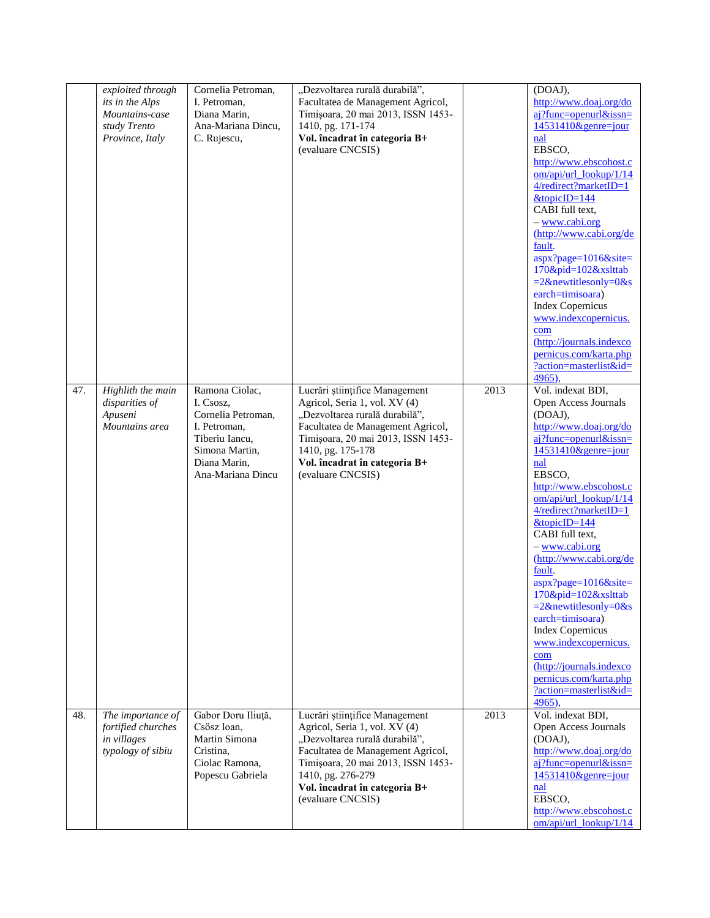|     | exploited through<br>its in the Alps<br>Mountains-case<br>study Trento<br>Province, Italy | Cornelia Petroman,<br>I. Petroman,<br>Diana Marin,<br>Ana-Mariana Dincu,<br>C. Rujescu,                                                    | "Dezvoltarea rurală durabilă",<br>Facultatea de Management Agricol,<br>Timișoara, 20 mai 2013, ISSN 1453-<br>1410, pg. 171-174<br>Vol. încadrat în categoria B+<br>(evaluare CNCSIS)                                                                    |                   | (DOAJ),<br>http://www.doaj.org/do<br>aj?func=openurl&issn=<br>$14531410$ &genre=jour<br>nal<br>EBSCO,<br>http://www.ebscohost.c<br>om/api/url_lookup/1/14<br>4/redirect?marketID=1<br>$&$ topicID=144<br>CABI full text,<br>- www.cabi.org<br>(http://www.cabi.org/de<br>fault.<br>aspx?page=1016&site=<br>170&pid=102&xslttab<br>$=2$ &newtitlesonly=0&s<br>earch=timisoara)<br><b>Index Copernicus</b><br>www.indexcopernicus.<br>com<br>(http://journals.indexco<br>pernicus.com/karta.php<br>?action=masterlist&id=<br>4965,                                                       |
|-----|-------------------------------------------------------------------------------------------|--------------------------------------------------------------------------------------------------------------------------------------------|---------------------------------------------------------------------------------------------------------------------------------------------------------------------------------------------------------------------------------------------------------|-------------------|----------------------------------------------------------------------------------------------------------------------------------------------------------------------------------------------------------------------------------------------------------------------------------------------------------------------------------------------------------------------------------------------------------------------------------------------------------------------------------------------------------------------------------------------------------------------------------------|
| 47. | Highlith the main<br>disparities of<br>Apuseni<br>Mountains area                          | Ramona Ciolac,<br>I. Csosz,<br>Cornelia Petroman,<br>I. Petroman,<br>Tiberiu Iancu,<br>Simona Martin,<br>Diana Marin,<br>Ana-Mariana Dincu | Lucrări științifice Management<br>Agricol, Seria 1, vol. XV (4)<br>"Dezvoltarea rurală durabilă",<br>Facultatea de Management Agricol,<br>Timișoara, 20 mai 2013, ISSN 1453-<br>1410, pg. 175-178<br>Vol. încadrat în categoria B+<br>(evaluare CNCSIS) | $\overline{2013}$ | Vol. indexat BDI,<br>Open Access Journals<br>(DOAJ),<br>http://www.doaj.org/do<br>$ai?$ func=openurl&issn=<br>14531410&genre=jour<br>nal<br>EBSCO.<br>http://www.ebscohost.c<br>$om/api/url_$ lookup/ $1/14$<br>4/redirect?marketID=1<br>$&$ topicID=144<br>CABI full text,<br>- www.cabi.org<br>(http://www.cabi.org/de<br>fault.<br>$aspx?page=1016&site=$<br>170&pid=102&xslttab<br>$=2$ &newtitlesonly=0&s<br>earch=timisoara)<br><b>Index Copernicus</b><br>www.indexcopernicus.<br>com<br>(http://journals.indexco<br>pernicus.com/karta.php<br>?action=masterlist&id=<br>4965), |
| 48. | The importance of<br>fortified churches<br>in villages<br>typology of sibiu               | Gabor Doru Iliuță,<br>Csösz Ioan,<br>Martin Simona<br>Cristina.<br>Ciolac Ramona,<br>Popescu Gabriela                                      | Lucrări științifice Management<br>Agricol, Seria 1, vol. XV (4)<br>"Dezvoltarea rurală durabilă",<br>Facultatea de Management Agricol,<br>Timișoara, 20 mai 2013, ISSN 1453-<br>1410, pg. 276-279<br>Vol. încadrat în categoria B+<br>(evaluare CNCSIS) | 2013              | Vol. indexat BDI,<br>Open Access Journals<br>(DOAJ),<br>http://www.doaj.org/do<br>aj?func=openurl&issn=<br>$14531410$ &genre=jour<br>nal<br>EBSCO,<br>http://www.ebscohost.c<br>om/api/url_lookup/1/14                                                                                                                                                                                                                                                                                                                                                                                 |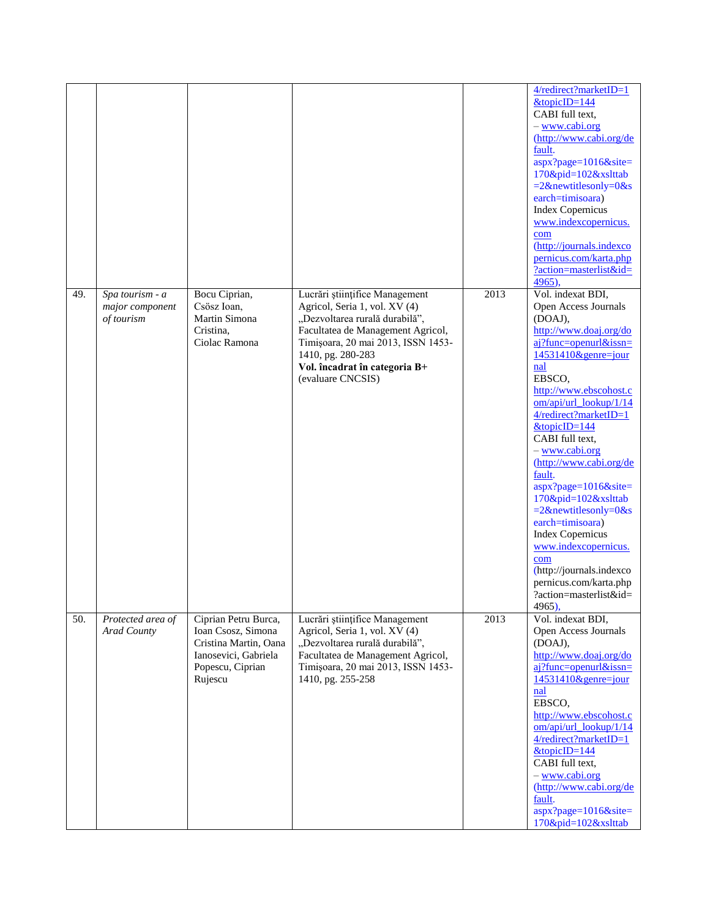|     |                                                  |                                                                                                                            |                                                                                                                                                                                                                                                         |      | 4/redirect?marketID=1<br>$&$ topicID=144<br>CABI full text,<br>- www.cabi.org<br>(http://www.cabi.org/de<br>fault.<br>$aspx?page=1016&site=$<br>170&pid=102&xslttab<br>$=2$ &newtitlesonly=0&s<br>earch=timisoara)<br><b>Index Copernicus</b><br>www.indexcopernicus.<br>com<br>(http://journals.indexco<br>pernicus.com/karta.php<br>?action=masterlist&id=<br>4965),                                                                                                                                                                                                      |
|-----|--------------------------------------------------|----------------------------------------------------------------------------------------------------------------------------|---------------------------------------------------------------------------------------------------------------------------------------------------------------------------------------------------------------------------------------------------------|------|-----------------------------------------------------------------------------------------------------------------------------------------------------------------------------------------------------------------------------------------------------------------------------------------------------------------------------------------------------------------------------------------------------------------------------------------------------------------------------------------------------------------------------------------------------------------------------|
| 49. | Spa tourism - a<br>major component<br>of tourism | Bocu Ciprian,<br>Csösz Ioan,<br>Martin Simona<br>Cristina.<br>Ciolac Ramona                                                | Lucrări științifice Management<br>Agricol, Seria 1, vol. XV (4)<br>"Dezvoltarea rurală durabilă",<br>Facultatea de Management Agricol,<br>Timișoara, 20 mai 2013, ISSN 1453-<br>1410, pg. 280-283<br>Vol. încadrat în categoria B+<br>(evaluare CNCSIS) | 2013 | Vol. indexat BDI,<br>Open Access Journals<br>(DOAJ),<br>http://www.doaj.org/do<br>aj?func=openurl&issn=<br>14531410&genre=jour<br>nal<br>EBSCO,<br>http://www.ebscohost.c<br>om/api/url_lookup/1/14<br>4/redirect?marketID=1<br>$&$ topicID=144<br>CABI full text,<br>- www.cabi.org<br>(http://www.cabi.org/de<br>fault.<br>aspx?page=1016&site=<br>170&pid=102&xslttab<br>$=2$ &newtitlesonly=0&s<br>earch=timisoara)<br><b>Index Copernicus</b><br>www.indexcopernicus.<br>com<br>(http://journals.indexco<br>pernicus.com/karta.php<br>?action=masterlist&id=<br>4965), |
| 50. | Protected area of<br>Arad County                 | Ciprian Petru Burca,<br>Ioan Csosz, Simona<br>Cristina Martin, Oana<br>Ianosevici, Gabriela<br>Popescu, Ciprian<br>Rujescu | Lucrări științifice Management<br>Agricol, Seria 1, vol. XV (4)<br>"Dezvoltarea rurală durabilă",<br>Facultatea de Management Agricol,<br>Timișoara, 20 mai 2013, ISSN 1453-<br>1410, pg. 255-258                                                       | 2013 | Vol. indexat BDI,<br>Open Access Journals<br>(DOAJ),<br>http://www.doaj.org/do<br>aj?func=openurl&issn=<br>$14531410$ &genre=jour<br>nal<br>EBSCO,<br>http://www.ebscohost.c<br>om/api/url_lookup/1/14<br>4/redirect?marketID=1<br>$&$ topicID=144<br>CABI full text,<br>- www.cabi.org<br>(http://www.cabi.org/de<br>fault.<br>aspx?page=1016&site=<br>170&pid=102&xslttab                                                                                                                                                                                                 |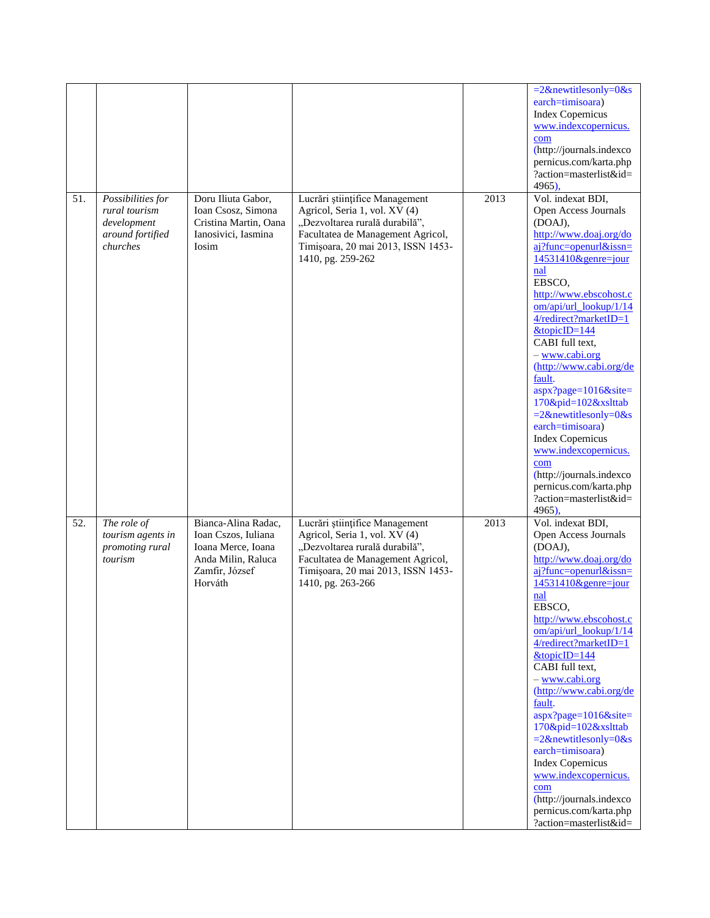|     |                              |                              |                                                                         |      | $=2$ &newtitlesonly=0&s                              |
|-----|------------------------------|------------------------------|-------------------------------------------------------------------------|------|------------------------------------------------------|
|     |                              |                              |                                                                         |      | earch=timisoara)                                     |
|     |                              |                              |                                                                         |      | <b>Index Copernicus</b>                              |
|     |                              |                              |                                                                         |      | www.indexcopernicus.<br>com                          |
|     |                              |                              |                                                                         |      | (http://journals.indexco                             |
|     |                              |                              |                                                                         |      | pernicus.com/karta.php                               |
|     |                              |                              |                                                                         |      | ?action=masterlist&id=                               |
|     |                              |                              |                                                                         |      | 4965),                                               |
| 51. | Possibilities for            | Doru Iliuta Gabor,           | Lucrări științifice Management                                          | 2013 | Vol. indexat BDI,                                    |
|     | rural tourism                | Ioan Csosz, Simona           | Agricol, Seria 1, vol. XV (4)                                           |      | Open Access Journals                                 |
|     | development                  | Cristina Martin, Oana        | "Dezvoltarea rurală durabilă",                                          |      | (DOAJ),                                              |
|     | around fortified<br>churches | Ianosivici, Iasmina<br>Iosim | Facultatea de Management Agricol,<br>Timișoara, 20 mai 2013, ISSN 1453- |      | http://www.doaj.org/do<br>$ai?$ func=openurl&issn=   |
|     |                              |                              | 1410, pg. 259-262                                                       |      | $14531410$ &genre=jour                               |
|     |                              |                              |                                                                         |      | nal                                                  |
|     |                              |                              |                                                                         |      | EBSCO,                                               |
|     |                              |                              |                                                                         |      | http://www.ebscohost.c                               |
|     |                              |                              |                                                                         |      | om/api/url_lookup/1/14                               |
|     |                              |                              |                                                                         |      | 4/redirect?marketID=1<br>&topicID=144                |
|     |                              |                              |                                                                         |      | CABI full text,                                      |
|     |                              |                              |                                                                         |      | - www.cabi.org                                       |
|     |                              |                              |                                                                         |      | (http://www.cabi.org/de                              |
|     |                              |                              |                                                                         |      | fault.                                               |
|     |                              |                              |                                                                         |      | aspx?page=1016&site=                                 |
|     |                              |                              |                                                                         |      | 170&pid=102&xslttab<br>$=2\&$ newtitlesonly=0 $\&$ s |
|     |                              |                              |                                                                         |      | earch=timisoara)                                     |
|     |                              |                              |                                                                         |      | <b>Index Copernicus</b>                              |
|     |                              |                              |                                                                         |      | www.indexcopernicus.                                 |
|     |                              |                              |                                                                         |      | com                                                  |
|     |                              |                              |                                                                         |      | (http://journals.indexco                             |
|     |                              |                              |                                                                         |      | pernicus.com/karta.php<br>?action=masterlist&id=     |
|     |                              |                              |                                                                         |      | 4965),                                               |
| 52. | The role of                  | Bianca-Alina Radac,          | Lucrări științifice Management                                          | 2013 | Vol. indexat BDI,                                    |
|     | tourism agents in            | Ioan Cszos, Iuliana          | Agricol, Seria 1, vol. XV (4)                                           |      | Open Access Journals                                 |
|     | promoting rural              | Ioana Merce, Ioana           | "Dezvoltarea rurală durabilă",                                          |      | (DOAJ),                                              |
|     | tourism                      | Anda Milin, Raluca           | Facultatea de Management Agricol,                                       |      | http://www.doaj.org/do                               |
|     |                              | Zamfir, József<br>Horváth    | Timișoara, 20 mai 2013, ISSN 1453-<br>1410, pg. 263-266                 |      | aj?func=openurl&issn=<br>14531410&genre=jour         |
|     |                              |                              |                                                                         |      | nal                                                  |
|     |                              |                              |                                                                         |      | EBSCO,                                               |
|     |                              |                              |                                                                         |      | http://www.ebscohost.c                               |
|     |                              |                              |                                                                         |      | om/api/url_lookup/1/14                               |
|     |                              |                              |                                                                         |      | 4/redirect?marketID=1                                |
|     |                              |                              |                                                                         |      | $&$ topicID=144<br>CABI full text,                   |
|     |                              |                              |                                                                         |      | - www.cabi.org                                       |
|     |                              |                              |                                                                         |      | (http://www.cabi.org/de                              |
|     |                              |                              |                                                                         |      | fault.                                               |
|     |                              |                              |                                                                         |      | aspx?page=1016&site=                                 |
|     |                              |                              |                                                                         |      | 170&pid=102&xslttab                                  |
|     |                              |                              |                                                                         |      | $=2$ &newtitlesonly=0&s<br>earch=timisoara)          |
|     |                              |                              |                                                                         |      | <b>Index Copernicus</b>                              |
|     |                              |                              |                                                                         |      | www.indexcopernicus.                                 |
|     |                              |                              |                                                                         |      | com                                                  |
|     |                              |                              |                                                                         |      | (http://journals.indexco                             |
|     |                              |                              |                                                                         |      | pernicus.com/karta.php<br>?action=masterlist&id=     |
|     |                              |                              |                                                                         |      |                                                      |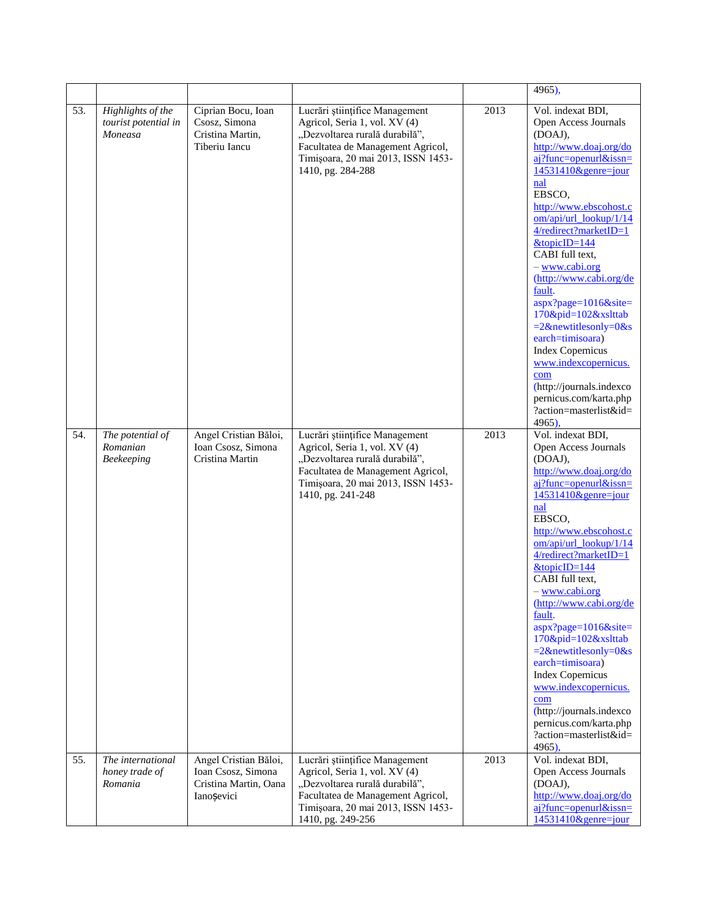|     |                                                      |                                                                                    |                                                                                                                                                                                                   |      | 4965),                                                                                                                                                                                                                                                                                                                                                                                                                                                                                                                                                                           |
|-----|------------------------------------------------------|------------------------------------------------------------------------------------|---------------------------------------------------------------------------------------------------------------------------------------------------------------------------------------------------|------|----------------------------------------------------------------------------------------------------------------------------------------------------------------------------------------------------------------------------------------------------------------------------------------------------------------------------------------------------------------------------------------------------------------------------------------------------------------------------------------------------------------------------------------------------------------------------------|
| 53. | Highlights of the<br>tourist potential in<br>Moneasa | Ciprian Bocu, Ioan<br>Csosz, Simona<br>Cristina Martin,<br>Tiberiu Iancu           | Lucrări științifice Management<br>Agricol, Seria 1, vol. XV (4)<br>"Dezvoltarea rurală durabilă",<br>Facultatea de Management Agricol,<br>Timișoara, 20 mai 2013, ISSN 1453-<br>1410, pg. 284-288 | 2013 | Vol. indexat BDI,<br>Open Access Journals<br>(DOAJ),<br>http://www.doaj.org/do<br>aj?func=openurl&issn=<br>14531410&genre=jour<br>nal<br>EBSCO,<br>http://www.ebscohost.c<br>om/api/url_lookup/1/14<br>4/redirect?marketID=1<br>$&topi$ c $ID=144$<br>CABI full text,<br>- www.cabi.org<br>(http://www.cabi.org/de<br>fault.<br>$aspx?page=1016&site=$<br>170&pid=102&xslttab<br>$=2$ &newtitlesonly=0&s<br>earch=timisoara)<br><b>Index Copernicus</b><br>www.indexcopernicus.<br>com<br>(http://journals.indexco<br>pernicus.com/karta.php<br>?action=masterlist&id=<br>4965), |
| 54. | The potential of<br>Romanian<br>Beekeeping           | Angel Cristian Băloi,<br>Ioan Csosz, Simona<br>Cristina Martin                     | Lucrări științifice Management<br>Agricol, Seria 1, vol. XV (4)<br>"Dezvoltarea rurală durabilă",<br>Facultatea de Management Agricol,<br>Timișoara, 20 mai 2013, ISSN 1453-<br>1410, pg. 241-248 | 2013 | Vol. indexat BDI,<br>Open Access Journals<br>(DOAJ),<br>http://www.doaj.org/do<br>aj?func=openurl&issn=<br>$14531410$ &genre=jour<br>nal<br>EBSCO,<br>http://www.ebscohost.c<br>om/api/url_lookup/1/14<br>4/redirect?marketID=1<br>$&topicID=144$<br>CABI full text,<br>- www.cabi.org<br>(http://www.cabi.org/de<br>fault.<br>aspx?page=1016&site=<br>170&pid=102&xslttab<br>$=2$ &newtitlesonly=0&s<br>earch=timisoara)<br><b>Index Copernicus</b><br>www.indexcopernicus.<br>com<br>(http://journals.indexco<br>pernicus.com/karta.php<br>?action=masterlist&id=<br>4965),    |
| 55. | The international<br>honey trade of<br>Romania       | Angel Cristian Băloi,<br>Ioan Csosz, Simona<br>Cristina Martin, Oana<br>Ianoșevici | Lucrări științifice Management<br>Agricol, Seria 1, vol. XV (4)<br>"Dezvoltarea rurală durabilă",<br>Facultatea de Management Agricol,<br>Timișoara, 20 mai 2013, ISSN 1453-<br>1410, pg. 249-256 | 2013 | Vol. indexat BDI,<br>Open Access Journals<br>(DOAJ),<br>http://www.doaj.org/do<br>$ai?$ func=openurl&issn=<br>14531410&genre=jour                                                                                                                                                                                                                                                                                                                                                                                                                                                |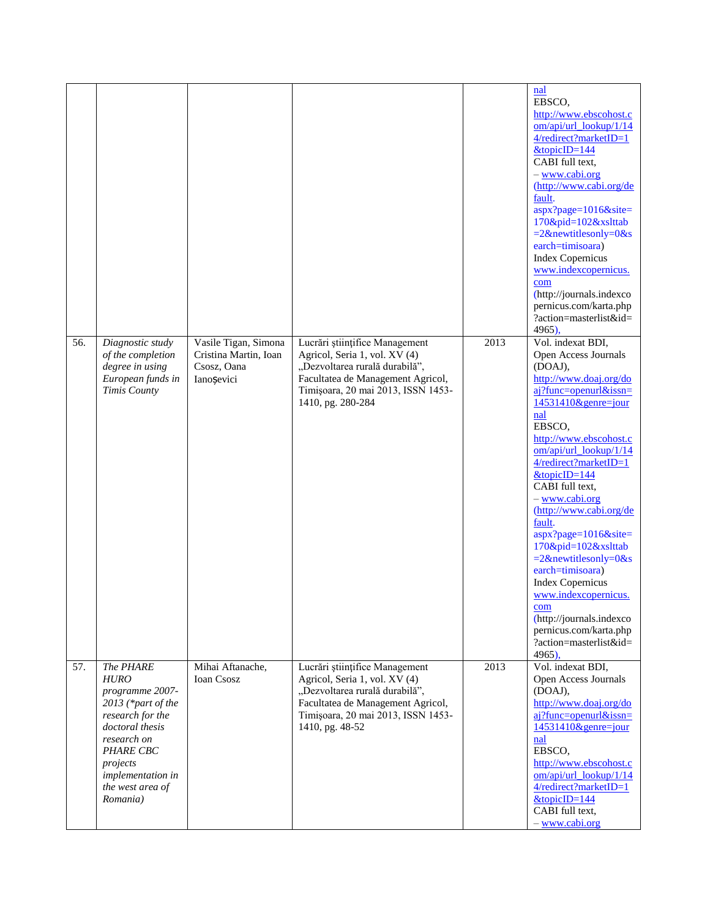|     |                                                                                                                                                                                                              |                                                                            |                                                                                                                                                                                                   |      | nal<br>EBSCO.<br>http://www.ebscohost.c<br>om/api/url_lookup/1/14<br>4/redirect?marketID=1<br>&topicID=144<br>CABI full text,<br>- www.cabi.org<br>(http://www.cabi.org/de<br>fault.<br>$aspx?page=1016&site=$<br>170&pid=102&xslttab<br>$=2$ &newtitlesonly=0&s<br>earch=timisoara)<br><b>Index Copernicus</b><br>www.indexcopernicus.<br>com<br>(http://journals.indexco<br>pernicus.com/karta.php<br>?action=masterlist&id=<br>4965),                                                                                                                                       |
|-----|--------------------------------------------------------------------------------------------------------------------------------------------------------------------------------------------------------------|----------------------------------------------------------------------------|---------------------------------------------------------------------------------------------------------------------------------------------------------------------------------------------------|------|--------------------------------------------------------------------------------------------------------------------------------------------------------------------------------------------------------------------------------------------------------------------------------------------------------------------------------------------------------------------------------------------------------------------------------------------------------------------------------------------------------------------------------------------------------------------------------|
| 56. | Diagnostic study<br>of the completion<br>degree in using<br>European funds in<br>Timis County                                                                                                                | Vasile Tigan, Simona<br>Cristina Martin, Ioan<br>Csosz, Oana<br>Ianoșevici | Lucrări științifice Management<br>Agricol, Seria 1, vol. XV (4)<br>"Dezvoltarea rurală durabilă",<br>Facultatea de Management Agricol,<br>Timișoara, 20 mai 2013, ISSN 1453-<br>1410, pg. 280-284 | 2013 | Vol. indexat BDI,<br>Open Access Journals<br>(DOAJ),<br>http://www.doaj.org/do<br>aj?func=openurl&issn=<br>14531410&genre=jour<br>nal<br>EBSCO,<br>http://www.ebscohost.c<br>om/api/url_lookup/1/14<br>4/redirect?marketID=1<br>$&$ topicID=144<br>CABI full text,<br>- www.cabi.org<br>(http://www.cabi.org/de<br>fault.<br>aspx?page=1016&site=<br>170&pid=102&xslttab<br>$=2$ &newtitlesonly=0&s<br>earch=timisoara)<br><b>Index Copernicus</b><br>www.indexcopernicus.<br>com<br>(http://journals.indexco<br>pernicus.com/karta.php<br>?action=masterlist&id=<br>$4965$ ). |
| 57. | The PHARE<br><b>HURO</b><br>programme 2007-<br>2013 (*part of the<br>research for the<br>doctoral thesis<br>research on<br><b>PHARE CBC</b><br>projects<br>implementation in<br>the west area of<br>Romania) | Mihai Aftanache,<br>Ioan Csosz                                             | Lucrări științifice Management<br>Agricol, Seria 1, vol. XV (4)<br>"Dezvoltarea rurală durabilă",<br>Facultatea de Management Agricol,<br>Timișoara, 20 mai 2013, ISSN 1453-<br>1410, pg. 48-52   | 2013 | Vol. indexat BDI,<br>Open Access Journals<br>(DOAJ),<br>http://www.doaj.org/do<br>aj?func=openurl&issn=<br>14531410&genre=jour<br>nal<br>EBSCO.<br>http://www.ebscohost.c<br>om/api/url_lookup/1/14<br>4/redirect?marketID=1<br>$&$ topicID=144<br>CABI full text,<br>- www.cabi.org                                                                                                                                                                                                                                                                                           |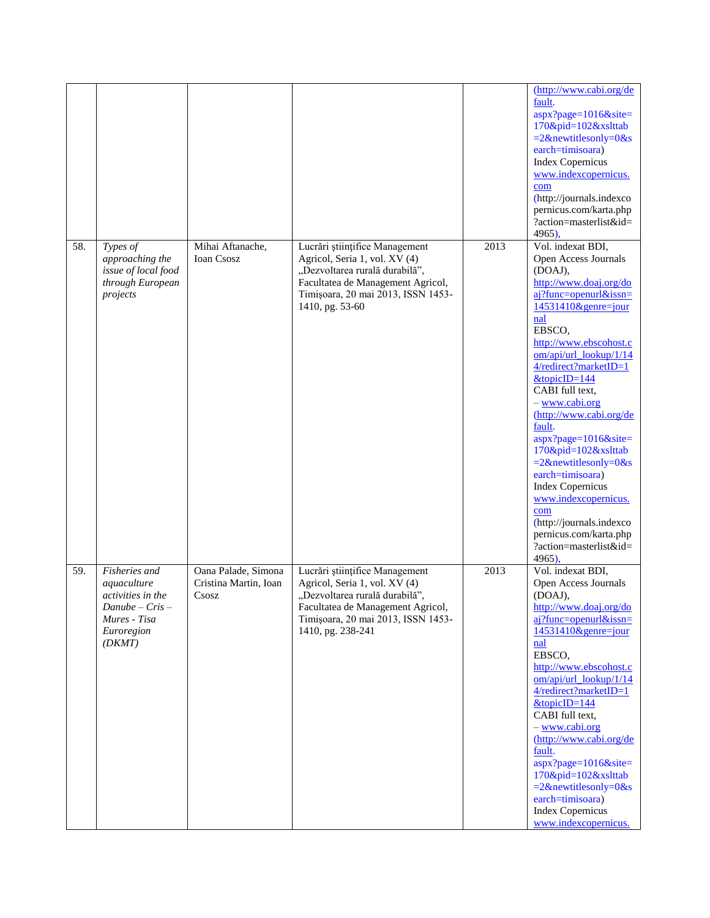|     |                                                                                                                |                                                       |                                                                                                                                                                                                   |      | (http://www.cabi.org/de<br>fault.<br>aspx?page=1016&site=<br>170&pid=102&xslttab<br>$=2$ &newtitlesonly=0&s<br>earch=timisoara)<br><b>Index Copernicus</b><br>www.indexcopernicus.<br>com<br>(http://journals.indexco<br>pernicus.com/karta.php<br>?action=masterlist&id=<br>$4965$ ),                                                                                                                                                                                                                                                                                           |
|-----|----------------------------------------------------------------------------------------------------------------|-------------------------------------------------------|---------------------------------------------------------------------------------------------------------------------------------------------------------------------------------------------------|------|----------------------------------------------------------------------------------------------------------------------------------------------------------------------------------------------------------------------------------------------------------------------------------------------------------------------------------------------------------------------------------------------------------------------------------------------------------------------------------------------------------------------------------------------------------------------------------|
| 58. | Types of<br>approaching the<br>issue of local food<br>through European<br>projects                             | Mihai Aftanache,<br>Ioan Csosz                        | Lucrări științifice Management<br>Agricol, Seria 1, vol. XV (4)<br>"Dezvoltarea rurală durabilă",<br>Facultatea de Management Agricol,<br>Timișoara, 20 mai 2013, ISSN 1453-<br>1410, pg. 53-60   | 2013 | Vol. indexat BDI,<br>Open Access Journals<br>(DOAJ),<br>http://www.doaj.org/do<br>$ai?$ func=openurl&issn=<br>14531410&genre=jour<br>nal<br>EBSCO,<br>http://www.ebscohost.c<br>om/api/url_lookup/1/14<br>4/redirect?marketID=1<br>$&$ topicID=144<br>CABI full text,<br>- www.cabi.org<br>(http://www.cabi.org/de<br>fault.<br>$aspx?page=1016&site=$<br>170&pid=102&xslttab<br>$=2$ &newtitlesonly=0&s<br>earch=timisoara)<br><b>Index Copernicus</b><br>www.indexcopernicus.<br>com<br>(http://journals.indexco<br>pernicus.com/karta.php<br>?action=masterlist&id=<br>4965), |
| 59. | Fisheries and<br>aquaculture<br>activities in the<br>$Danube - Cris -$<br>Mures - Tisa<br>Euroregion<br>(DKMT) | Oana Palade, Simona<br>Cristina Martin, Ioan<br>Csosz | Lucrări științifice Management<br>Agricol, Seria 1, vol. XV (4)<br>"Dezvoltarea rurală durabilă",<br>Facultatea de Management Agricol,<br>Timișoara, 20 mai 2013, ISSN 1453-<br>1410, pg. 238-241 | 2013 | Vol. indexat BDI,<br>Open Access Journals<br>(DOAJ),<br>http://www.doaj.org/do<br>$ai?$ func=openurl&issn=<br>$14531410$ &genre=jour<br>nal<br>EBSCO,<br>http://www.ebscohost.c<br>om/api/url_lookup/1/14<br>4/redirect?marketID=1<br>$&$ topicID=144<br>CABI full text,<br>- www.cabi.org<br>(http://www.cabi.org/de<br>fault.<br>aspx?page=1016&site=<br>170&pid=102&xslttab<br>$=2$ &newtitlesonly=0&s<br>earch=timisoara)<br><b>Index Copernicus</b><br>www.indexcopernicus.                                                                                                 |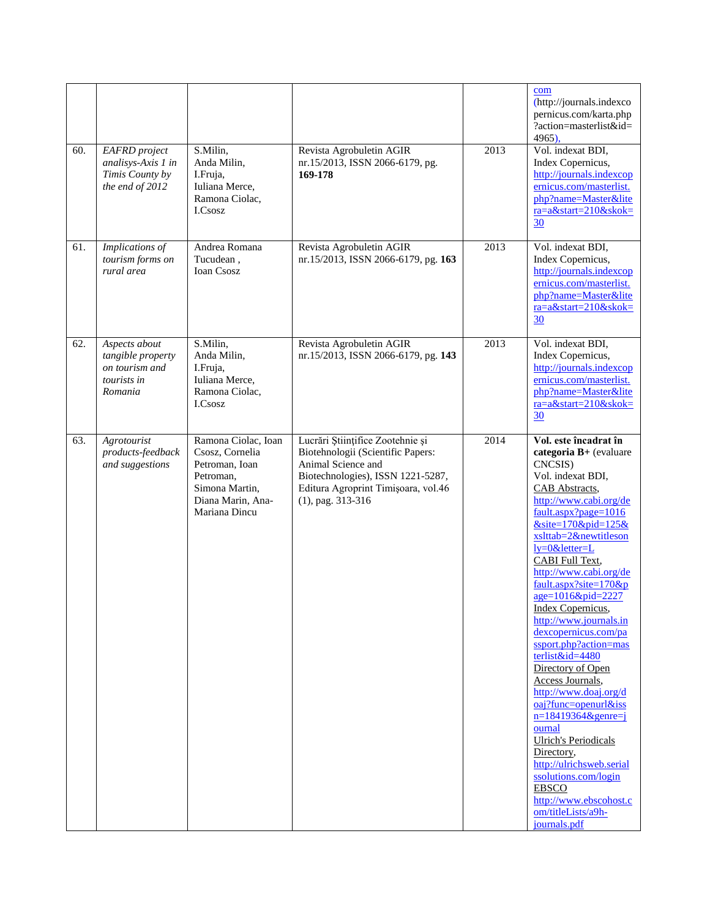|     |                                                                                  |                                                                                                                               |                                                                                                                                                                                                 |      | com<br>(http://journals.indexco<br>pernicus.com/karta.php<br>?action=masterlist&id=<br>4965),                                                                                                                                                                                                                                                                                                                                                                                                                                                                                                                                                                                                                                                               |
|-----|----------------------------------------------------------------------------------|-------------------------------------------------------------------------------------------------------------------------------|-------------------------------------------------------------------------------------------------------------------------------------------------------------------------------------------------|------|-------------------------------------------------------------------------------------------------------------------------------------------------------------------------------------------------------------------------------------------------------------------------------------------------------------------------------------------------------------------------------------------------------------------------------------------------------------------------------------------------------------------------------------------------------------------------------------------------------------------------------------------------------------------------------------------------------------------------------------------------------------|
| 60. | <b>EAFRD</b> project<br>analisys-Axis 1 in<br>Timis County by<br>the end of 2012 | S.Milin,<br>Anda Milin,<br>I.Fruja,<br>Iuliana Merce,<br>Ramona Ciolac,<br>I.Csosz                                            | Revista Agrobuletin AGIR<br>nr.15/2013, ISSN 2066-6179, pg.<br>169-178                                                                                                                          | 2013 | Vol. indexat BDI,<br>Index Copernicus,<br>http://journals.indexcop<br>ernicus.com/masterlist.<br>php?name=Master&lite<br>ra=a&start=210&skok=<br>30                                                                                                                                                                                                                                                                                                                                                                                                                                                                                                                                                                                                         |
| 61. | Implications of<br>tourism forms on<br>rural area                                | Andrea Romana<br>Tucudean,<br><b>Ioan Csosz</b>                                                                               | Revista Agrobuletin AGIR<br>nr.15/2013, ISSN 2066-6179, pg. 163                                                                                                                                 | 2013 | Vol. indexat BDI,<br>Index Copernicus,<br>http://journals.indexcop<br>ernicus.com/masterlist.<br>php?name=Master&lite<br>$ra = a$ &start=210&skok=<br>30                                                                                                                                                                                                                                                                                                                                                                                                                                                                                                                                                                                                    |
| 62. | Aspects about<br>tangible property<br>on tourism and<br>tourists in<br>Romania   | S.Milin,<br>Anda Milin,<br>I.Fruja,<br>Iuliana Merce,<br>Ramona Ciolac,<br>I.Csosz                                            | Revista Agrobuletin AGIR<br>nr.15/2013, ISSN 2066-6179, pg. 143                                                                                                                                 | 2013 | Vol. indexat BDI,<br>Index Copernicus,<br>http://journals.indexcop<br>ernicus.com/masterlist.<br>php?name=Master&lite<br>ra=a&start=210&skok=<br>30                                                                                                                                                                                                                                                                                                                                                                                                                                                                                                                                                                                                         |
| 63. | Agrotourist<br>products-feedback<br>and suggestions                              | Ramona Ciolac, Ioan<br>Csosz, Cornelia<br>Petroman, Ioan<br>Petroman,<br>Simona Martin,<br>Diana Marin, Ana-<br>Mariana Dincu | Lucrări Științifice Zootehnie și<br>Biotehnologii (Scientific Papers:<br>Animal Science and<br>Biotechnologies), ISSN 1221-5287,<br>Editura Agroprint Timișoara, vol.46<br>$(1)$ , pag. 313-316 | 2014 | Vol. este încadrat în<br>categoria B+ (evaluare<br>CNCSIS)<br>Vol. indexat BDI,<br>CAB Abstracts,<br>http://www.cabi.org/de<br>fault.aspx?page=1016<br>$&$ site=170 $&$ pid=125 $&$<br>xslttab=2&newtitleson<br>ly=0&letter=L<br>CABI Full Text,<br>http://www.cabi.org/de<br>fault.aspx?site=170&p<br>age=1016&pid=2227<br>Index Copernicus,<br>http://www.journals.in<br>dexcopernicus.com/pa<br>ssport.php?action=mas<br>terlist&id=4480<br>Directory of Open<br>Access Journals,<br>http://www.doaj.org/d<br>$oaj?func=openurl&iss$<br>$n=18419364$ &genre=j<br>ournal<br><b>Ulrich's Periodicals</b><br>Directory,<br>http://ulrichsweb.serial<br>ssolutions.com/login<br><b>EBSCO</b><br>http://www.ebscohost.c<br>om/titleLists/a9h-<br>journals.pdf |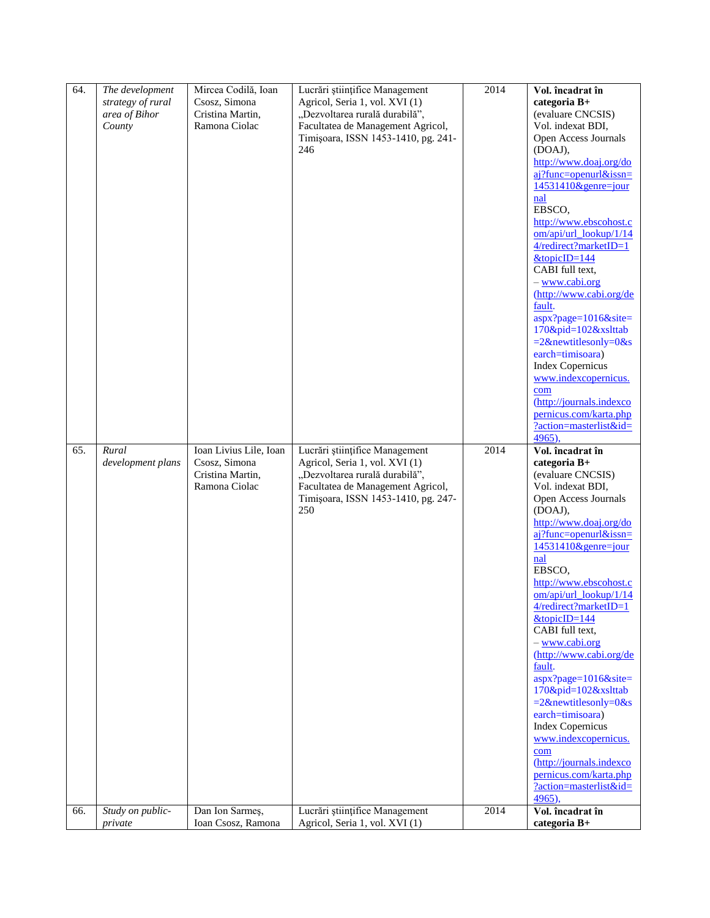| 64.        | The development<br>strategy of rural<br>area of Bihor<br>County | Mircea Codilă, Ioan<br>Csosz, Simona<br>Cristina Martin,<br>Ramona Ciolac                       | Lucrări științifice Management<br>Agricol, Seria 1, vol. XVI (1)<br>"Dezvoltarea rurală durabilă",<br>Facultatea de Management Agricol,<br>Timișoara, ISSN 1453-1410, pg. 241-<br>246                                   | 2014         | Vol. încadrat în<br>categoria B+<br>(evaluare CNCSIS)<br>Vol. indexat BDI,<br>Open Access Journals<br>(DOAJ),<br>http://www.doaj.org/do<br>aj?func=openurl&issn=<br>$14531410$ &genre=jour<br>nal<br>EBSCO,<br>http://www.ebscohost.c<br>om/api/url_lookup/1/14<br>$4/redirect?marketID=1$<br>$&$ topicID=144<br>CABI full text,<br>- www.cabi.org<br>(http://www.cabi.org/de<br>fault.<br>aspx?page=1016&site=<br>170&pid=102&xslttab<br>$=2$ &newtitlesonly=0&s<br>earch=timisoara)<br><b>Index Copernicus</b><br>www.indexcopernicus.<br>com<br>(http://journals.indexco<br>pernicus.com/karta.php<br>?action=masterlist&id=<br>4965),                            |
|------------|-----------------------------------------------------------------|-------------------------------------------------------------------------------------------------|-------------------------------------------------------------------------------------------------------------------------------------------------------------------------------------------------------------------------|--------------|----------------------------------------------------------------------------------------------------------------------------------------------------------------------------------------------------------------------------------------------------------------------------------------------------------------------------------------------------------------------------------------------------------------------------------------------------------------------------------------------------------------------------------------------------------------------------------------------------------------------------------------------------------------------|
| 65.<br>66. | Rural<br>development plans<br>Study on public-                  | Ioan Livius Lile, Ioan<br>Csosz, Simona<br>Cristina Martin,<br>Ramona Ciolac<br>Dan Ion Sarmeş, | Lucrări științifice Management<br>Agricol, Seria 1, vol. XVI (1)<br>"Dezvoltarea rurală durabilă",<br>Facultatea de Management Agricol,<br>Timișoara, ISSN 1453-1410, pg. 247-<br>250<br>Lucrări științifice Management | 2014<br>2014 | Vol. încadrat în<br>categoria B+<br>(evaluare CNCSIS)<br>Vol. indexat BDI,<br>Open Access Journals<br>(DOAJ),<br>http://www.doaj.org/do<br>$ai?$ func=openurl&issn=<br>14531410&genre=jour<br>nal<br>EBSCO.<br>http://www.ebscohost.c<br>$om/api/url_$ lookup/ $1/14$<br>4/redirect?marketID=1<br>$&$ topicID=144<br>CABI full text.<br>- www.cabi.org<br>(http://www.cabi.org/de<br>fault.<br>aspx?page=1016&site=<br>170&pid=102&xslttab<br>$=2$ &newtitlesonly=0&s<br>earch=timisoara)<br><b>Index Copernicus</b><br>www.indexcopernicus.<br>com<br>(http://journals.indexco<br>pernicus.com/karta.php<br>?action=masterlist&id=<br>$4965$ ),<br>Vol. încadrat în |
|            | private                                                         | Ioan Csosz, Ramona                                                                              | Agricol, Seria 1, vol. XVI (1)                                                                                                                                                                                          |              | categoria B+                                                                                                                                                                                                                                                                                                                                                                                                                                                                                                                                                                                                                                                         |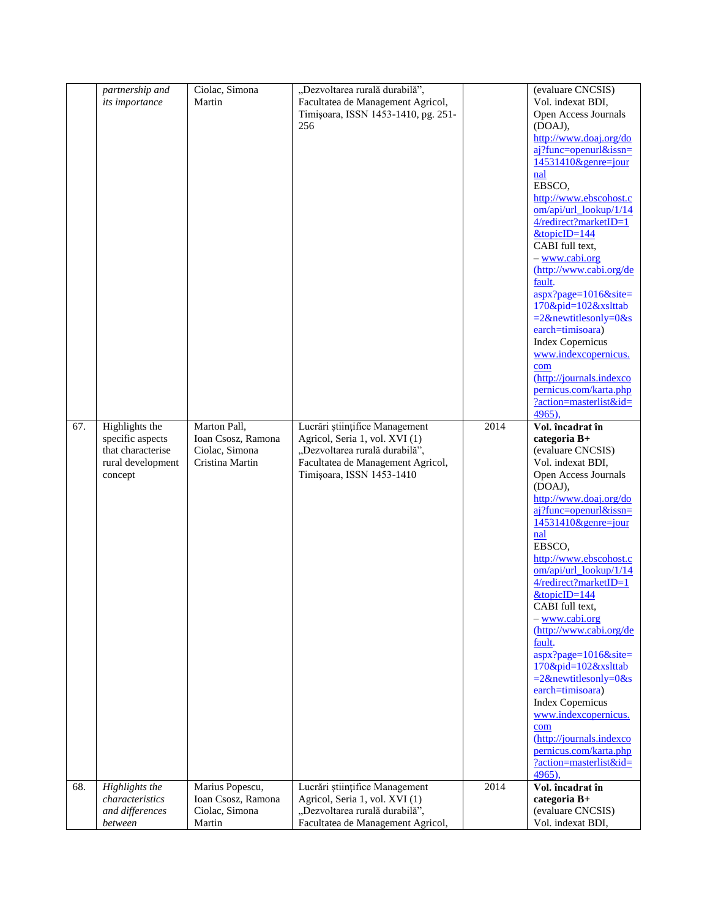|     | partnership and   | Ciolac, Simona     | "Dezvoltarea rurală durabilă",      |      | (evaluare CNCSIS)                           |
|-----|-------------------|--------------------|-------------------------------------|------|---------------------------------------------|
|     | its importance    | Martin             | Facultatea de Management Agricol,   |      | Vol. indexat BDI,                           |
|     |                   |                    | Timișoara, ISSN 1453-1410, pg. 251- |      | Open Access Journals                        |
|     |                   |                    | 256                                 |      | (DOAJ),                                     |
|     |                   |                    |                                     |      | http://www.doaj.org/do                      |
|     |                   |                    |                                     |      | aj?func=openurl&issn=                       |
|     |                   |                    |                                     |      | 14531410&genre=jour                         |
|     |                   |                    |                                     |      | nal                                         |
|     |                   |                    |                                     |      | EBSCO,                                      |
|     |                   |                    |                                     |      | http://www.ebscohost.c                      |
|     |                   |                    |                                     |      | $om/api/url_$ lookup/ $1/14$                |
|     |                   |                    |                                     |      | 4/redirect?marketID=1                       |
|     |                   |                    |                                     |      | $&$ topicID=144                             |
|     |                   |                    |                                     |      | CABI full text,                             |
|     |                   |                    |                                     |      | - www.cabi.org<br>(http://www.cabi.org/de   |
|     |                   |                    |                                     |      | fault.                                      |
|     |                   |                    |                                     |      | aspx?page=1016&site=                        |
|     |                   |                    |                                     |      | 170&pid=102&xslttab                         |
|     |                   |                    |                                     |      | $=2$ &newtitlesonly=0&s                     |
|     |                   |                    |                                     |      | earch=timisoara)                            |
|     |                   |                    |                                     |      | <b>Index Copernicus</b>                     |
|     |                   |                    |                                     |      | www.indexcopernicus.                        |
|     |                   |                    |                                     |      | com                                         |
|     |                   |                    |                                     |      | (http://journals.indexco                    |
|     |                   |                    |                                     |      | pernicus.com/karta.php                      |
|     |                   |                    |                                     |      | ?action=masterlist&id=                      |
|     |                   |                    |                                     |      | 4965).                                      |
| 67. | Highlights the    | Marton Pall,       | Lucrări științifice Management      | 2014 | Vol. încadrat în                            |
|     | specific aspects  | Ioan Csosz, Ramona | Agricol, Seria 1, vol. XVI (1)      |      | categoria B+                                |
|     | that characterise | Ciolac, Simona     | "Dezvoltarea rurală durabilă",      |      | (evaluare CNCSIS)                           |
|     | rural development | Cristina Martin    | Facultatea de Management Agricol,   |      | Vol. indexat BDI,                           |
|     | concept           |                    | Timișoara, ISSN 1453-1410           |      | Open Access Journals<br>(DOAJ),             |
|     |                   |                    |                                     |      | http://www.doaj.org/do                      |
|     |                   |                    |                                     |      | aj?func=openurl&issn=                       |
|     |                   |                    |                                     |      | $14531410$ &genre=jour                      |
|     |                   |                    |                                     |      | nal                                         |
|     |                   |                    |                                     |      | EBSCO,                                      |
|     |                   |                    |                                     |      | http://www.ebscohost.c                      |
|     |                   |                    |                                     |      | $om/api/url_$ lookup/ $1/14$                |
|     |                   |                    |                                     |      | 4/redirect?marketID=1                       |
|     |                   |                    |                                     |      | $&topi$ cID=144                             |
|     |                   |                    |                                     |      | CABI full text,                             |
|     |                   |                    |                                     |      | - www.cabi.org                              |
|     |                   |                    |                                     |      | (http://www.cabi.org/de                     |
|     |                   |                    |                                     |      | fault.                                      |
|     |                   |                    |                                     |      | aspx?page=1016&site=<br>170&pid=102&xslttab |
|     |                   |                    |                                     |      | $=2$ &newtitlesonly=0&s                     |
|     |                   |                    |                                     |      | earch=timisoara)                            |
|     |                   |                    |                                     |      | <b>Index Copernicus</b>                     |
|     |                   |                    |                                     |      | www.indexcopernicus.                        |
|     |                   |                    |                                     |      | com                                         |
|     |                   |                    |                                     |      | (http://journals.indexco                    |
|     |                   |                    |                                     |      | pernicus.com/karta.php                      |
|     |                   |                    |                                     |      | ?action=masterlist&id=                      |
|     |                   |                    |                                     |      | 4965),                                      |
| 68. | Highlights the    | Marius Popescu,    | Lucrări științifice Management      | 2014 | Vol. încadrat în                            |
|     | characteristics   | Ioan Csosz, Ramona | Agricol, Seria 1, vol. XVI (1)      |      | categoria B+                                |
|     | and differences   | Ciolac, Simona     | "Dezvoltarea rurală durabilă",      |      | (evaluare CNCSIS)                           |
|     | between           | Martin             | Facultatea de Management Agricol,   |      | Vol. indexat BDI,                           |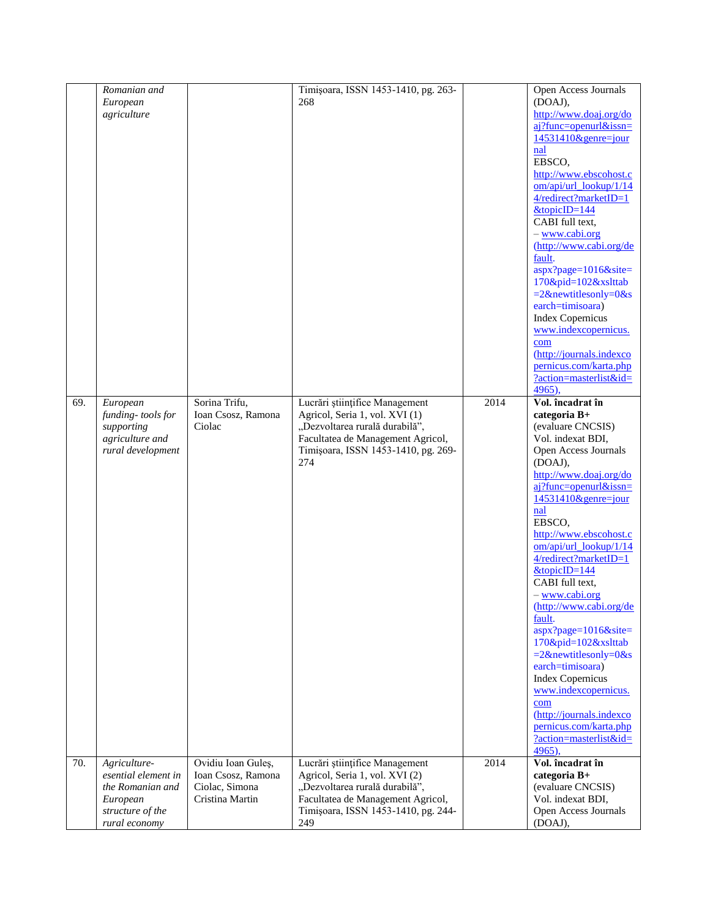|     | Romanian and                        |                                          | Timișoara, ISSN 1453-1410, pg. 263-                                      |      | Open Access Journals                           |
|-----|-------------------------------------|------------------------------------------|--------------------------------------------------------------------------|------|------------------------------------------------|
|     | European<br>agriculture             |                                          | 268                                                                      |      | (DOAJ),<br>http://www.doaj.org/do              |
|     |                                     |                                          |                                                                          |      | $ai?$ func=openurl&issn=                       |
|     |                                     |                                          |                                                                          |      | 14531410&genre=jour                            |
|     |                                     |                                          |                                                                          |      | nal                                            |
|     |                                     |                                          |                                                                          |      | EBSCO,<br>http://www.ebscohost.c               |
|     |                                     |                                          |                                                                          |      | om/api/url_lookup/1/14                         |
|     |                                     |                                          |                                                                          |      | 4/redirect?marketID=1                          |
|     |                                     |                                          |                                                                          |      | $&$ topicID=144                                |
|     |                                     |                                          |                                                                          |      | CABI full text,<br>- www.cabi.org              |
|     |                                     |                                          |                                                                          |      | (http://www.cabi.org/de                        |
|     |                                     |                                          |                                                                          |      | fault.                                         |
|     |                                     |                                          |                                                                          |      | $aspx?page=1016&site=$                         |
|     |                                     |                                          |                                                                          |      | 170&pid=102&xslttab<br>$=2$ &newtitlesonly=0&s |
|     |                                     |                                          |                                                                          |      | earch=timisoara)                               |
|     |                                     |                                          |                                                                          |      | <b>Index Copernicus</b>                        |
|     |                                     |                                          |                                                                          |      | www.indexcopernicus.                           |
|     |                                     |                                          |                                                                          |      | com<br>(http://journals.indexco                |
|     |                                     |                                          |                                                                          |      | pernicus.com/karta.php                         |
|     |                                     |                                          |                                                                          |      | ?action=masterlist&id=                         |
|     |                                     |                                          |                                                                          |      | 4965),                                         |
| 69. | European<br>funding-tools for       | Sorina Trifu,<br>Ioan Csosz, Ramona      | Lucrări științifice Management<br>Agricol, Seria 1, vol. XVI (1)         | 2014 | Vol. încadrat în<br>categoria B+               |
|     | supporting                          | Ciolac                                   | "Dezvoltarea rurală durabilă",                                           |      | (evaluare CNCSIS)                              |
|     | agriculture and                     |                                          | Facultatea de Management Agricol,<br>Timișoara, ISSN 1453-1410, pg. 269- |      | Vol. indexat BDI,                              |
|     | rural development                   |                                          |                                                                          |      | Open Access Journals                           |
|     |                                     |                                          | 274                                                                      |      | (DOAJ),<br>http://www.doaj.org/do              |
|     |                                     |                                          |                                                                          |      | $ai?$ func=openurl&issn=                       |
|     |                                     |                                          |                                                                          |      | 14531410&genre=jour                            |
|     |                                     |                                          |                                                                          |      | nal                                            |
|     |                                     |                                          |                                                                          |      | EBSCO,<br>http://www.ebscohost.c               |
|     |                                     |                                          |                                                                          |      | om/api/url_lookup/1/14                         |
|     |                                     |                                          |                                                                          |      | $4/relativect?marketID=1$                      |
|     |                                     |                                          |                                                                          |      | $&$ topicID=144                                |
|     |                                     |                                          |                                                                          |      | CABI full text,<br>- www.cabi.org              |
|     |                                     |                                          |                                                                          |      | (http://www.cabi.org/de                        |
|     |                                     |                                          |                                                                          |      | fault.                                         |
|     |                                     |                                          |                                                                          |      | aspx?page=1016&site=                           |
|     |                                     |                                          |                                                                          |      | 170&pid=102&xslttab<br>$=2$ &newtitlesonly=0&s |
|     |                                     |                                          |                                                                          |      | earch=timisoara)                               |
|     |                                     |                                          |                                                                          |      | <b>Index Copernicus</b>                        |
|     |                                     |                                          |                                                                          |      | www.indexcopernicus.                           |
|     |                                     |                                          |                                                                          |      | com<br>(http://journals.indexco                |
|     |                                     |                                          |                                                                          |      | pernicus.com/karta.php                         |
|     |                                     |                                          |                                                                          |      | ?action=masterlist&id=                         |
|     |                                     |                                          |                                                                          |      | 4965).                                         |
| 70. | Agriculture-<br>esential element in | Ovidiu Ioan Guleș,<br>Ioan Csosz, Ramona | Lucrări științifice Management<br>Agricol, Seria 1, vol. XVI (2)         | 2014 | Vol. încadrat în<br>categoria B+               |
|     | the Romanian and                    | Ciolac, Simona                           | "Dezvoltarea rurală durabilă",                                           |      | (evaluare CNCSIS)                              |
|     | European                            | Cristina Martin                          | Facultatea de Management Agricol,                                        |      | Vol. indexat BDI,                              |
|     | structure of the<br>rural economy   |                                          | Timișoara, ISSN 1453-1410, pg. 244-                                      |      | Open Access Journals                           |
|     |                                     |                                          | 249                                                                      |      | (DOAJ),                                        |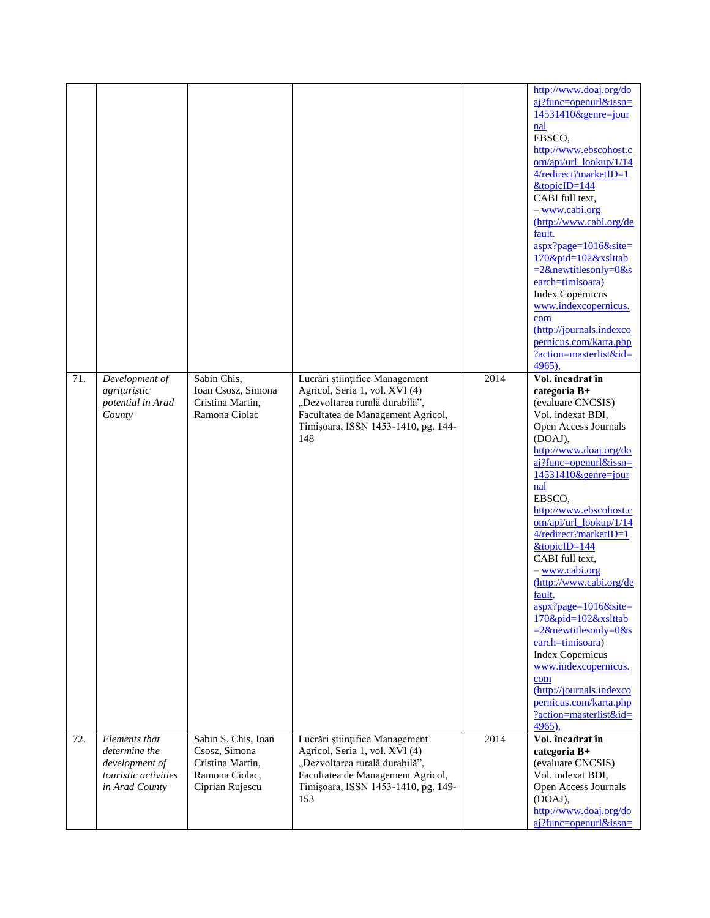| 71. | Development of                                                                             | Sabin Chis,                                                                                   | Lucrări științifice Management                                                                                                                                                        | 2014 | http://www.doaj.org/do<br>aj?func=openurl&issn=<br>14531410&genre=jour<br>nal<br>EBSCO,<br>http://www.ebscohost.c<br>om/api/url_lookup/1/14<br>4/redirect?marketID=1<br>$&topi$ c $ID=144$<br>CABI full text,<br>- www.cabi.org<br>(http://www.cabi.org/de<br>fault.<br>aspx?page=1016&site=<br>170&pid=102&xslttab<br>$=2$ &newtitlesonly=0&s<br>earch=timisoara)<br><b>Index Copernicus</b><br>www.indexcopernicus.<br>com<br>(http://journals.indexco<br>pernicus.com/karta.php<br>?action=masterlist&id=<br>4965).<br>Vol. încadrat în                                                                          |
|-----|--------------------------------------------------------------------------------------------|-----------------------------------------------------------------------------------------------|---------------------------------------------------------------------------------------------------------------------------------------------------------------------------------------|------|---------------------------------------------------------------------------------------------------------------------------------------------------------------------------------------------------------------------------------------------------------------------------------------------------------------------------------------------------------------------------------------------------------------------------------------------------------------------------------------------------------------------------------------------------------------------------------------------------------------------|
|     | agrituristic<br>potential in Arad<br>County                                                | Ioan Csosz, Simona<br>Cristina Martin,<br>Ramona Ciolac                                       | Agricol, Seria 1, vol. XVI (4)<br>"Dezvoltarea rurală durabilă",<br>Facultatea de Management Agricol,<br>Timișoara, ISSN 1453-1410, pg. 144-<br>148                                   |      | categoria B+<br>(evaluare CNCSIS)<br>Vol. indexat BDI,<br>Open Access Journals<br>(DOAJ),<br>http://www.doaj.org/do<br>$ai?$ func=openurl&issn=<br>$14531410$ &genre=jour<br>nal<br>EBSCO,<br>http://www.ebscohost.c<br>om/api/url_lookup/1/14<br>4/redirect?marketID=1<br>&topicID=144<br>CABI full text,<br>- www.cabi.org<br>(http://www.cabi.org/de<br>fault.<br>aspx?page=1016&site=<br>170&pid=102&xslttab<br>$=2$ &newtitlesonly=0&s<br>earch=timisoara)<br><b>Index Copernicus</b><br>www.indexcopernicus.<br>com<br>(http://journals.indexco<br>pernicus.com/karta.php<br>?action=masterlist&id=<br>4965), |
| 72. | Elements that<br>determine the<br>development of<br>touristic activities<br>in Arad County | Sabin S. Chis, Ioan<br>Csosz, Simona<br>Cristina Martin,<br>Ramona Ciolac,<br>Ciprian Rujescu | Lucrări științifice Management<br>Agricol, Seria 1, vol. XVI (4)<br>"Dezvoltarea rurală durabilă",<br>Facultatea de Management Agricol,<br>Timișoara, ISSN 1453-1410, pg. 149-<br>153 | 2014 | Vol. încadrat în<br>categoria B+<br>(evaluare CNCSIS)<br>Vol. indexat BDI,<br>Open Access Journals<br>(DOAJ),<br>http://www.doaj.org/do<br>aj?func=openurl&issn=                                                                                                                                                                                                                                                                                                                                                                                                                                                    |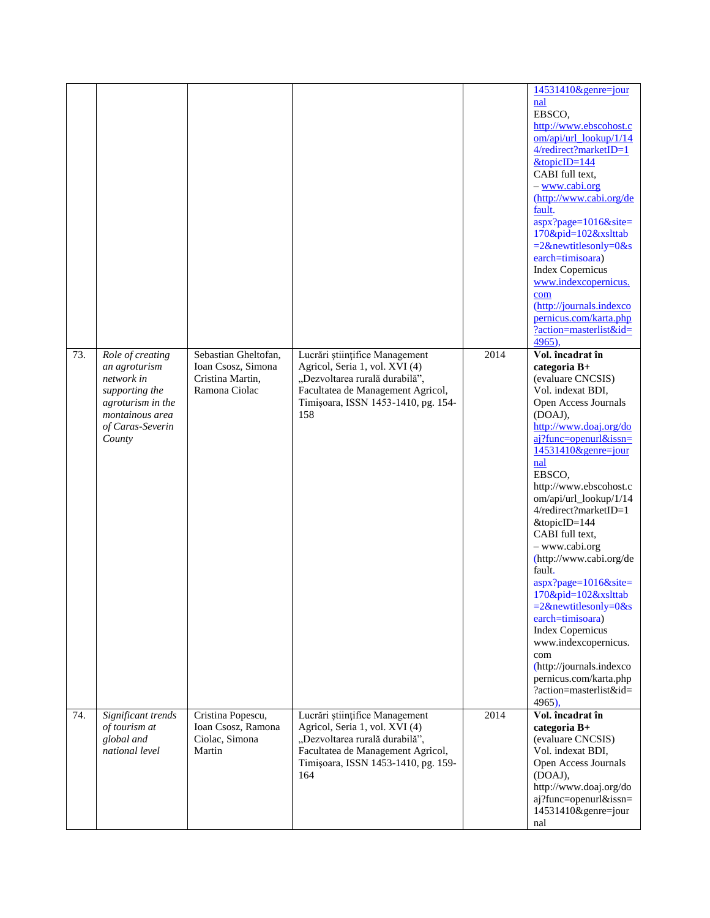|     |                                                                                                                                         |                                                                                 |                                                                                                                                                                                       |      | 14531410&genre=jour                                                                                                                                                                                                                                                                                                                                                                                                                                                                                                                                                                                                                  |
|-----|-----------------------------------------------------------------------------------------------------------------------------------------|---------------------------------------------------------------------------------|---------------------------------------------------------------------------------------------------------------------------------------------------------------------------------------|------|--------------------------------------------------------------------------------------------------------------------------------------------------------------------------------------------------------------------------------------------------------------------------------------------------------------------------------------------------------------------------------------------------------------------------------------------------------------------------------------------------------------------------------------------------------------------------------------------------------------------------------------|
|     |                                                                                                                                         |                                                                                 |                                                                                                                                                                                       |      | nal<br>EBSCO,<br>http://www.ebscohost.c<br>om/api/url_lookup/1/14<br>4/redirect?marketID=1<br>$&$ topicID=144<br>CABI full text.<br>- www.cabi.org<br>(http://www.cabi.org/de<br>fault.<br>aspx?page=1016&site=<br>170&pid=102&xslttab<br>$=2$ &newtitlesonly=0&s<br>earch=timisoara)<br><b>Index Copernicus</b><br>www.indexcopernicus.<br>com<br>(http://journals.indexco<br>pernicus.com/karta.php<br>?action=masterlist&id=<br>4965),                                                                                                                                                                                            |
| 73. | Role of creating<br>an agroturism<br>network in<br>supporting the<br>agroturism in the<br>montainous area<br>of Caras-Severin<br>County | Sebastian Gheltofan,<br>Ioan Csosz, Simona<br>Cristina Martin,<br>Ramona Ciolac | Lucrări științifice Management<br>Agricol, Seria 1, vol. XVI (4)<br>"Dezvoltarea rurală durabilă",<br>Facultatea de Management Agricol,<br>Timișoara, ISSN 1453-1410, pg. 154-<br>158 | 2014 | Vol. încadrat în<br>categoria B+<br>(evaluare CNCSIS)<br>Vol. indexat BDI,<br>Open Access Journals<br>(DOAJ),<br>http://www.doaj.org/do<br>$ai?$ func=openurl&issn=<br>14531410&genre=jour<br>nal<br>EBSCO,<br>http://www.ebscohost.c<br>om/api/url_lookup/1/14<br>4/redirect?marketID=1<br>&topicID=144<br>CABI full text,<br>- www.cabi.org<br>(http://www.cabi.org/de<br>fault.<br>aspx?page=1016&site=<br>170&pid=102&xslttab<br>$=2$ &newtitlesonly=0&s<br>earch=timisoara)<br><b>Index Copernicus</b><br>www.indexcopernicus.<br>com<br>(http://journals.indexco<br>pernicus.com/karta.php<br>?action=masterlist&id=<br>4965), |
| 74. | Significant trends<br>of tourism at<br>global and<br>national level                                                                     | Cristina Popescu,<br>Ioan Csosz, Ramona<br>Ciolac, Simona<br>Martin             | Lucrări științifice Management<br>Agricol, Seria 1, vol. XVI (4)<br>"Dezvoltarea rurală durabilă",<br>Facultatea de Management Agricol,<br>Timișoara, ISSN 1453-1410, pg. 159-<br>164 | 2014 | Vol. încadrat în<br>categoria B+<br>(evaluare CNCSIS)<br>Vol. indexat BDI,<br>Open Access Journals<br>(DOAJ),<br>http://www.doaj.org/do<br>aj?func=openurl&issn=<br>14531410&genre=jour<br>nal                                                                                                                                                                                                                                                                                                                                                                                                                                       |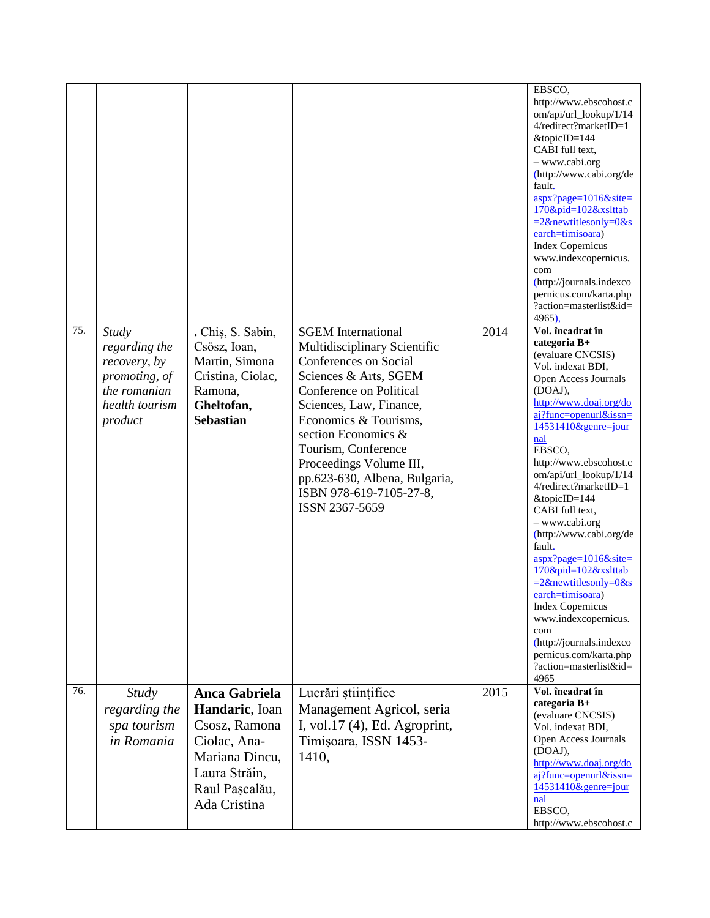| 75. | Study<br>regarding the<br>recovery, by<br>promoting, of<br>the romanian<br>health tourism<br>product | . Chis, S. Sabin,<br>Csösz, Ioan,<br>Martin, Simona<br>Cristina, Ciolac,<br>Ramona,<br>Gheltofan,<br><b>Sebastian</b> | <b>SGEM</b> International<br>Multidisciplinary Scientific<br>Conferences on Social<br>Sciences & Arts, SGEM<br>Conference on Political<br>Sciences, Law, Finance,<br>Economics & Tourisms,<br>section Economics &<br>Tourism, Conference<br>Proceedings Volume III,<br>pp.623-630, Albena, Bulgaria,<br>ISBN 978-619-7105-27-8,<br>ISSN 2367-5659 | 2014 | EBSCO.<br>http://www.ebscohost.c<br>om/api/url_lookup/1/14<br>4/redirect?marketID=1<br>&topicID=144<br>CABI full text.<br>- www.cabi.org<br>(http://www.cabi.org/de<br>fault.<br>aspx?page=1016&site=<br>170&pid=102&xslttab<br>$=2$ &newtitlesonly=0&s<br>earch=timisoara)<br><b>Index Copernicus</b><br>www.indexcopernicus.<br>com<br>(http://journals.indexco<br>pernicus.com/karta.php<br>?action=masterlist&id=<br>4965),<br>Vol. încadrat în<br>categoria B+<br>(evaluare CNCSIS)<br>Vol. indexat BDI,<br>Open Access Journals<br>(DOAJ),<br>http://www.doaj.org/do<br>$ai?$ func=openurl&issn=<br>$14531410$ &genre=jour<br>nal<br>EBSCO,<br>http://www.ebscohost.c<br>om/api/url_lookup/1/14<br>4/redirect?marketID=1<br>&topicID=144<br>CABI full text.<br>- www.cabi.org<br>(http://www.cabi.org/de<br>fault.<br>$aspx?page=1016\&site=$<br>170&pid=102&xslttab<br>$=2$ &newtitlesonly=0&s<br>earch=timisoara)<br><b>Index Copernicus</b><br>www.indexcopernicus.<br>com<br>(http://journals.indexco<br>pernicus.com/karta.php<br>?action=masterlist&id= |
|-----|------------------------------------------------------------------------------------------------------|-----------------------------------------------------------------------------------------------------------------------|---------------------------------------------------------------------------------------------------------------------------------------------------------------------------------------------------------------------------------------------------------------------------------------------------------------------------------------------------|------|---------------------------------------------------------------------------------------------------------------------------------------------------------------------------------------------------------------------------------------------------------------------------------------------------------------------------------------------------------------------------------------------------------------------------------------------------------------------------------------------------------------------------------------------------------------------------------------------------------------------------------------------------------------------------------------------------------------------------------------------------------------------------------------------------------------------------------------------------------------------------------------------------------------------------------------------------------------------------------------------------------------------------------------------------------------------|
| 76. | <b>Study</b>                                                                                         | Anca Gabriela                                                                                                         | Lucrări științifice                                                                                                                                                                                                                                                                                                                               | 2015 | 4965<br>Vol. încadrat în<br>categoria $B+$                                                                                                                                                                                                                                                                                                                                                                                                                                                                                                                                                                                                                                                                                                                                                                                                                                                                                                                                                                                                                          |
|     | regarding the<br>spa tourism<br>in Romania                                                           | Handaric, Ioan<br>Csosz, Ramona<br>Ciolac, Ana-<br>Mariana Dincu,<br>Laura Străin,<br>Raul Pașcalău,<br>Ada Cristina  | Management Agricol, seria<br>I, vol.17 (4), Ed. Agroprint,<br>Timișoara, ISSN 1453-<br>1410,                                                                                                                                                                                                                                                      |      | (evaluare CNCSIS)<br>Vol. indexat BDI,<br>Open Access Journals<br>(DOAJ),<br>http://www.doaj.org/do<br>$ai?$ func=openurl&issn=<br>14531410&genre=jour<br>nal<br>EBSCO,<br>http://www.ebscohost.c                                                                                                                                                                                                                                                                                                                                                                                                                                                                                                                                                                                                                                                                                                                                                                                                                                                                   |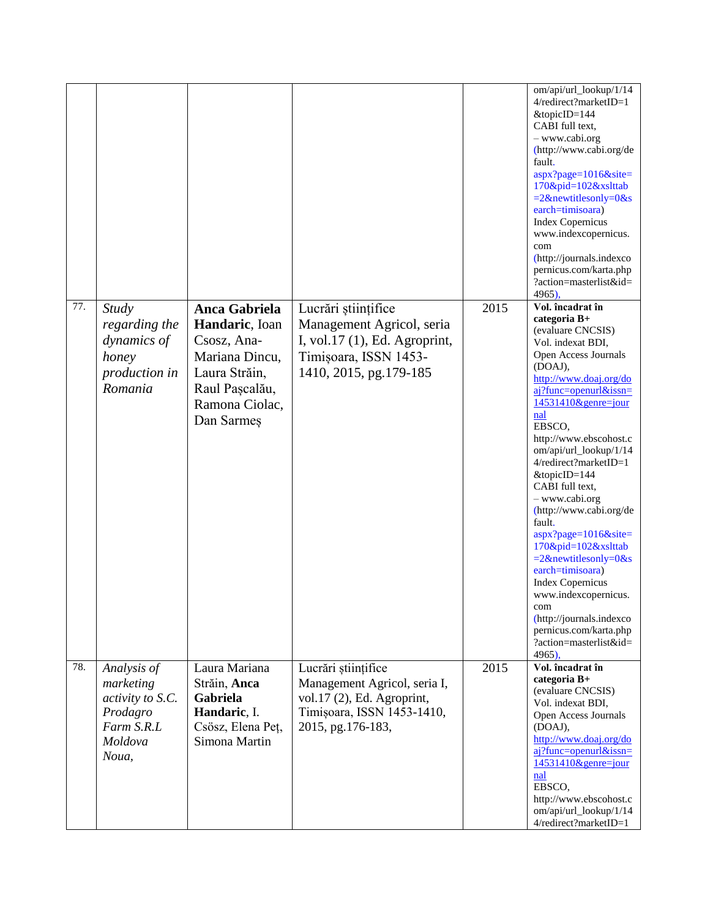|     |                                                                                            |                                                                                                                                            |                                                                                                                                      |      | om/api/url_lookup/1/14<br>4/redirect?marketID=1<br>&topicID=144<br>CABI full text.<br>- www.cabi.org<br>(http://www.cabi.org/de<br>fault.<br>aspx?page=1016&site=<br>170&pid=102&xslttab<br>$=2$ &newtitlesonly=0&s<br>earch=timisoara)<br><b>Index Copernicus</b><br>www.indexcopernicus.<br>com<br>(http://journals.indexco<br>pernicus.com/karta.php<br>?action=masterlist&id=<br>4965).                                                                                                                                                                                                                                                |
|-----|--------------------------------------------------------------------------------------------|--------------------------------------------------------------------------------------------------------------------------------------------|--------------------------------------------------------------------------------------------------------------------------------------|------|--------------------------------------------------------------------------------------------------------------------------------------------------------------------------------------------------------------------------------------------------------------------------------------------------------------------------------------------------------------------------------------------------------------------------------------------------------------------------------------------------------------------------------------------------------------------------------------------------------------------------------------------|
| 77. | <b>Study</b><br>regarding the<br>dynamics of<br>honey<br>production in<br>Romania          | <b>Anca Gabriela</b><br>Handaric, Ioan<br>Csosz, Ana-<br>Mariana Dincu,<br>Laura Străin,<br>Raul Pașcalău,<br>Ramona Ciolac,<br>Dan Sarmeş | Lucrări științifice<br>Management Agricol, seria<br>I, vol.17 (1), Ed. Agroprint,<br>Timișoara, ISSN 1453-<br>1410, 2015, pg.179-185 | 2015 | Vol. încadrat în<br>categoria B+<br>(evaluare CNCSIS)<br>Vol. indexat BDI,<br>Open Access Journals<br>(DOAJ),<br>http://www.doaj.org/do<br>aj?func=openurl&issn=<br>$14531410$ &genre=jour<br>$n$ al<br>EBSCO,<br>http://www.ebscohost.c<br>om/api/url_lookup/1/14<br>4/redirect?marketID=1<br>&topicID=144<br>CABI full text,<br>- www.cabi.org<br>(http://www.cabi.org/de<br>fault.<br>$aspx?page=1016\&site=$<br>170&pid=102&xslttab<br>$=2$ &newtitlesonly=0&s<br>earch=timisoara)<br><b>Index Copernicus</b><br>www.indexcopernicus.<br>com<br>(http://journals.indexco<br>pernicus.com/karta.php<br>?action=masterlist&id=<br>4965). |
| 78. | Analysis of<br>marketing<br>activity to S.C.<br>Prodagro<br>Farm S.R.L<br>Moldova<br>Noua, | Laura Mariana<br>Străin, Anca<br>Gabriela<br>Handaric, I.<br>Csösz, Elena Peț,<br>Simona Martin                                            | Lucrări științifice<br>Management Agricol, seria I,<br>vol.17 (2), Ed. Agroprint,<br>Timișoara, ISSN 1453-1410,<br>2015, pg.176-183, | 2015 | Vol. încadrat în<br>categoria B+<br>(evaluare CNCSIS)<br>Vol. indexat BDI,<br>Open Access Journals<br>(DOAJ),<br>http://www.doaj.org/do<br>$ai?$ func=openurl&issn=<br>14531410&genre=jour<br>nal<br>EBSCO.<br>http://www.ebscohost.c<br>om/api/url_lookup/1/14<br>4/redirect?marketID=1                                                                                                                                                                                                                                                                                                                                                   |